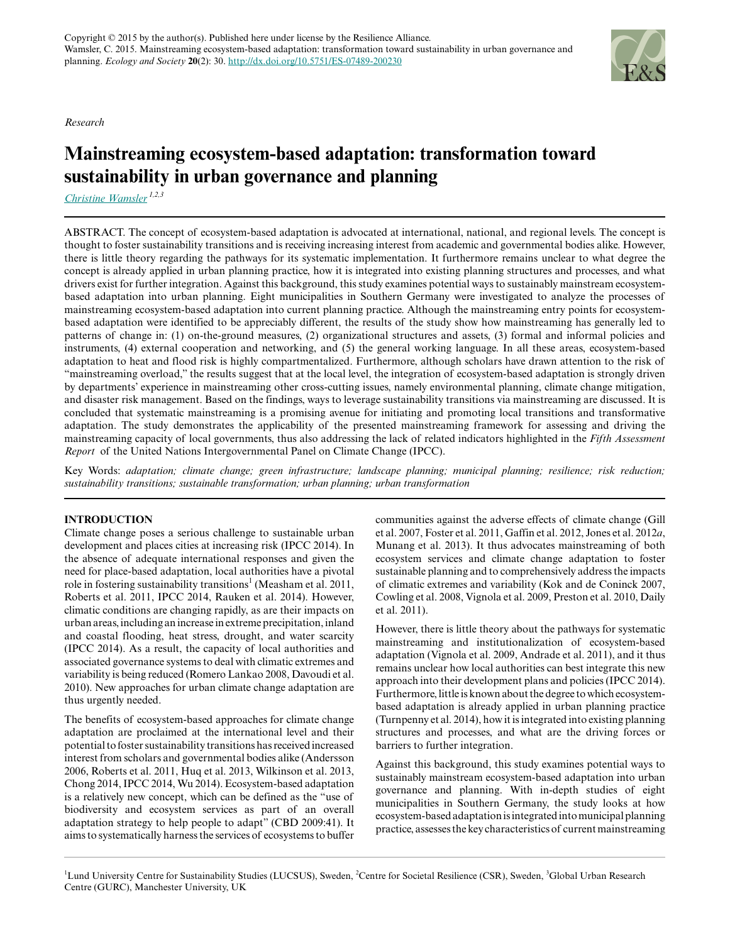*Research*

# **Mainstreaming ecosystem-based adaptation: transformation toward sustainability in urban governance and planning**

*Christine Wamsler 1,2,3*

ABSTRACT. The concept of ecosystem-based adaptation is advocated at international, national, and regional levels. The concept is thought to foster sustainability transitions and is receiving increasing interest from academic and governmental bodies alike. However, there is little theory regarding the pathways for its systematic implementation. It furthermore remains unclear to what degree the concept is already applied in urban planning practice, how it is integrated into existing planning structures and processes, and what drivers exist for further integration. Against this background, this study examines potential ways to sustainably mainstream ecosystembased adaptation into urban planning. Eight municipalities in Southern Germany were investigated to analyze the processes of mainstreaming ecosystem-based adaptation into current planning practice. Although the mainstreaming entry points for ecosystembased adaptation were identified to be appreciably different, the results of the study show how mainstreaming has generally led to patterns of change in: (1) on-the-ground measures, (2) organizational structures and assets, (3) formal and informal policies and instruments, (4) external cooperation and networking, and (5) the general working language. In all these areas, ecosystem-based adaptation to heat and flood risk is highly compartmentalized. Furthermore, although scholars have drawn attention to the risk of "mainstreaming overload," the results suggest that at the local level, the integration of ecosystem-based adaptation is strongly driven by departments' experience in mainstreaming other cross-cutting issues, namely environmental planning, climate change mitigation, and disaster risk management. Based on the findings, ways to leverage sustainability transitions via mainstreaming are discussed. It is concluded that systematic mainstreaming is a promising avenue for initiating and promoting local transitions and transformative adaptation. The study demonstrates the applicability of the presented mainstreaming framework for assessing and driving the mainstreaming capacity of local governments, thus also addressing the lack of related indicators highlighted in the *Fifth Assessment Report* of the United Nations Intergovernmental Panel on Climate Change (IPCC).

Key Words: *adaptation; climate change; green infrastructure; landscape planning; municipal planning; resilience; risk reduction; sustainability transitions; sustainable transformation; urban planning; urban transformation*

# **INTRODUCTION**

Climate change poses a serious challenge to sustainable urban development and places cities at increasing risk (IPCC 2014). In the absence of adequate international responses and given the need for place-based adaptation, local authorities have a pivotal role in fostering sustainability transitions<sup>1</sup> (Measham et al. 2011, Roberts et al. 2011, IPCC 2014, Rauken et al. 2014). However, climatic conditions are changing rapidly, as are their impacts on urban areas, including an increase in extreme precipitation, inland and coastal flooding, heat stress, drought, and water scarcity (IPCC 2014). As a result, the capacity of local authorities and associated governance systems to deal with climatic extremes and variability is being reduced (Romero Lankao 2008, Davoudi et al. 2010). New approaches for urban climate change adaptation are thus urgently needed.

The benefits of ecosystem-based approaches for climate change adaptation are proclaimed at the international level and their potential to foster sustainability transitions has received increased interest from scholars and governmental bodies alike (Andersson 2006, Roberts et al. 2011, Huq et al. 2013, Wilkinson et al. 2013, Chong 2014, IPCC 2014, Wu 2014). Ecosystem-based adaptation is a relatively new concept, which can be defined as the "use of biodiversity and ecosystem services as part of an overall adaptation strategy to help people to adapt" (CBD 2009:41). It aims to systematically harness the services of ecosystems to buffer

communities against the adverse effects of climate change (Gill et al. 2007, Foster et al. 2011, Gaffin et al. 2012, Jones et al. 2012*a*, Munang et al. 2013). It thus advocates mainstreaming of both ecosystem services and climate change adaptation to foster sustainable planning and to comprehensively address the impacts of climatic extremes and variability (Kok and de Coninck 2007, Cowling et al. 2008, Vignola et al. 2009, Preston et al. 2010, Daily et al. 2011).

However, there is little theory about the pathways for systematic mainstreaming and institutionalization of ecosystem-based adaptation (Vignola et al. 2009, Andrade et al. 2011), and it thus remains unclear how local authorities can best integrate this new approach into their development plans and policies (IPCC 2014). Furthermore, little is known about the degree to which ecosystembased adaptation is already applied in urban planning practice (Turnpenny et al. 2014), how it is integrated into existing planning structures and processes, and what are the driving forces or barriers to further integration.

Against this background, this study examines potential ways to sustainably mainstream ecosystem-based adaptation into urban governance and planning. With in-depth studies of eight municipalities in Southern Germany, the study looks at how ecosystem-based adaptation is integrated into municipal planning practice, assesses the key characteristics of current mainstreaming

<sup>1</sup>Lund University Centre for Sustainability Studies (LUCSUS), Sweden, <sup>2</sup>Centre for Societal Resilience (CSR), Sweden, <sup>3</sup>Global Urban Research Centre (GURC), Manchester University, UK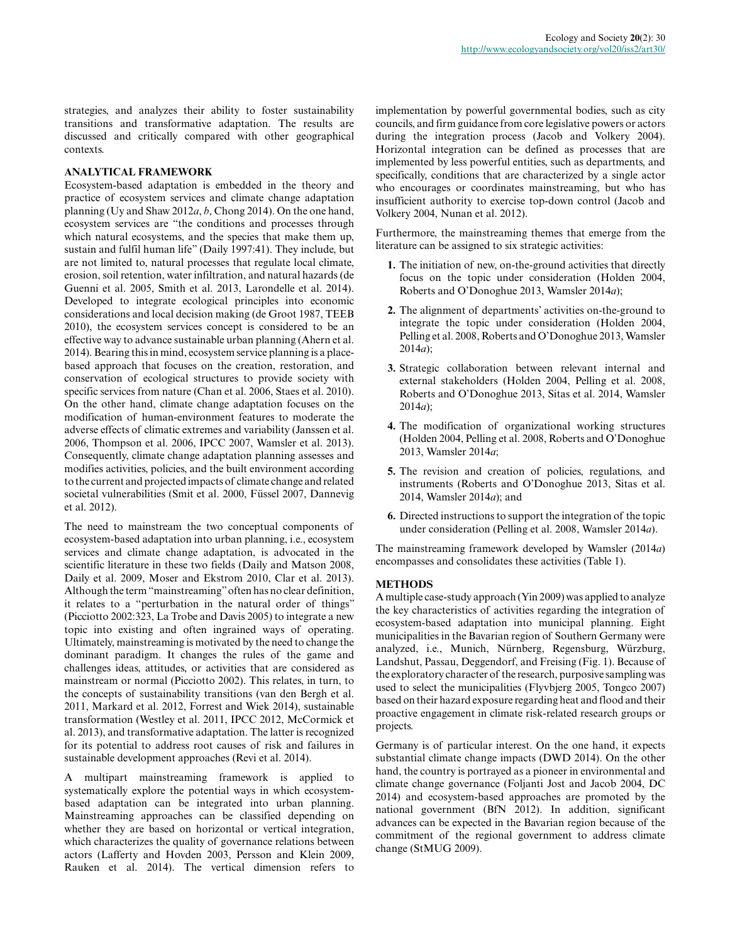strategies, and analyzes their ability to foster sustainability transitions and transformative adaptation. The results are discussed and critically compared with other geographical contexts.

# **ANALYTICAL FRAMEWORK**

Ecosystem-based adaptation is embedded in the theory and practice of ecosystem services and climate change adaptation planning (Uy and Shaw 2012*a*, *b*, Chong 2014). On the one hand, ecosystem services are "the conditions and processes through which natural ecosystems, and the species that make them up, sustain and fulfil human life" (Daily 1997:41). They include, but are not limited to, natural processes that regulate local climate, erosion, soil retention, water infiltration, and natural hazards (de Guenni et al. 2005, Smith et al. 2013, Larondelle et al. 2014). Developed to integrate ecological principles into economic considerations and local decision making (de Groot 1987, TEEB 2010), the ecosystem services concept is considered to be an effective way to advance sustainable urban planning (Ahern et al. 2014). Bearing this in mind, ecosystem service planning is a placebased approach that focuses on the creation, restoration, and conservation of ecological structures to provide society with specific services from nature (Chan et al. 2006, Staes et al. 2010). On the other hand, climate change adaptation focuses on the modification of human-environment features to moderate the adverse effects of climatic extremes and variability (Janssen et al. 2006, Thompson et al. 2006, IPCC 2007, Wamsler et al. 2013). Consequently, climate change adaptation planning assesses and modifies activities, policies, and the built environment according to the current and projected impacts of climate change and related societal vulnerabilities (Smit et al. 2000, Füssel 2007, Dannevig et al. 2012).

The need to mainstream the two conceptual components of ecosystem-based adaptation into urban planning, i.e., ecosystem services and climate change adaptation, is advocated in the scientific literature in these two fields (Daily and Matson 2008, Daily et al. 2009, Moser and Ekstrom 2010, Clar et al. 2013). Although the term "mainstreaming" often has no clear definition, it relates to a "perturbation in the natural order of things" (Picciotto 2002:323, La Trobe and Davis 2005) to integrate a new topic into existing and often ingrained ways of operating. Ultimately, mainstreaming is motivated by the need to change the dominant paradigm. It changes the rules of the game and challenges ideas, attitudes, or activities that are considered as mainstream or normal (Picciotto 2002). This relates, in turn, to the concepts of sustainability transitions (van den Bergh et al. 2011, Markard et al. 2012, Forrest and Wiek 2014), sustainable transformation (Westley et al. 2011, IPCC 2012, McCormick et al. 2013), and transformative adaptation. The latter is recognized for its potential to address root causes of risk and failures in sustainable development approaches (Revi et al. 2014).

A multipart mainstreaming framework is applied to systematically explore the potential ways in which ecosystembased adaptation can be integrated into urban planning. Mainstreaming approaches can be classified depending on whether they are based on horizontal or vertical integration, which characterizes the quality of governance relations between actors (Lafferty and Hovden 2003, Persson and Klein 2009, Rauken et al. 2014). The vertical dimension refers to implementation by powerful governmental bodies, such as city councils, and firm guidance from core legislative powers or actors during the integration process (Jacob and Volkery 2004). Horizontal integration can be defined as processes that are implemented by less powerful entities, such as departments, and specifically, conditions that are characterized by a single actor who encourages or coordinates mainstreaming, but who has insufficient authority to exercise top-down control (Jacob and Volkery 2004, Nunan et al. 2012).

Furthermore, the mainstreaming themes that emerge from the literature can be assigned to six strategic activities:

- **1.** The initiation of new, on-the-ground activities that directly focus on the topic under consideration (Holden 2004, Roberts and O'Donoghue 2013, Wamsler 2014*a*);
- **2.** The alignment of departments' activities on-the-ground to integrate the topic under consideration (Holden 2004, Pelling et al. 2008, Roberts and O'Donoghue 2013, Wamsler 2014*a*);
- **3.** Strategic collaboration between relevant internal and external stakeholders (Holden 2004, Pelling et al. 2008, Roberts and O'Donoghue 2013, Sitas et al. 2014, Wamsler 2014*a*);
- **4.** The modification of organizational working structures (Holden 2004, Pelling et al. 2008, Roberts and O'Donoghue 2013, Wamsler 2014*a*;
- **5.** The revision and creation of policies, regulations, and instruments (Roberts and O'Donoghue 2013, Sitas et al. 2014, Wamsler 2014*a*); and
- **6.** Directed instructions to support the integration of the topic under consideration (Pelling et al. 2008, Wamsler 2014*a*).

The mainstreaming framework developed by Wamsler (2014*a*) encompasses and consolidates these activities (Table 1).

# **METHODS**

A multiple case-study approach (Yin 2009) was applied to analyze the key characteristics of activities regarding the integration of ecosystem-based adaptation into municipal planning. Eight municipalities in the Bavarian region of Southern Germany were analyzed, i.e., Munich, Nürnberg, Regensburg, Würzburg, Landshut, Passau, Deggendorf, and Freising (Fig. 1). Because of the exploratory character of the research, purposive sampling was used to select the municipalities (Flyvbjerg 2005, Tongco 2007) based on their hazard exposure regarding heat and flood and their proactive engagement in climate risk-related research groups or projects.

Germany is of particular interest. On the one hand, it expects substantial climate change impacts (DWD 2014). On the other hand, the country is portrayed as a pioneer in environmental and climate change governance (Foljanti Jost and Jacob 2004, DC 2014) and ecosystem-based approaches are promoted by the national government (BfN 2012). In addition, significant advances can be expected in the Bavarian region because of the commitment of the regional government to address climate change (StMUG 2009).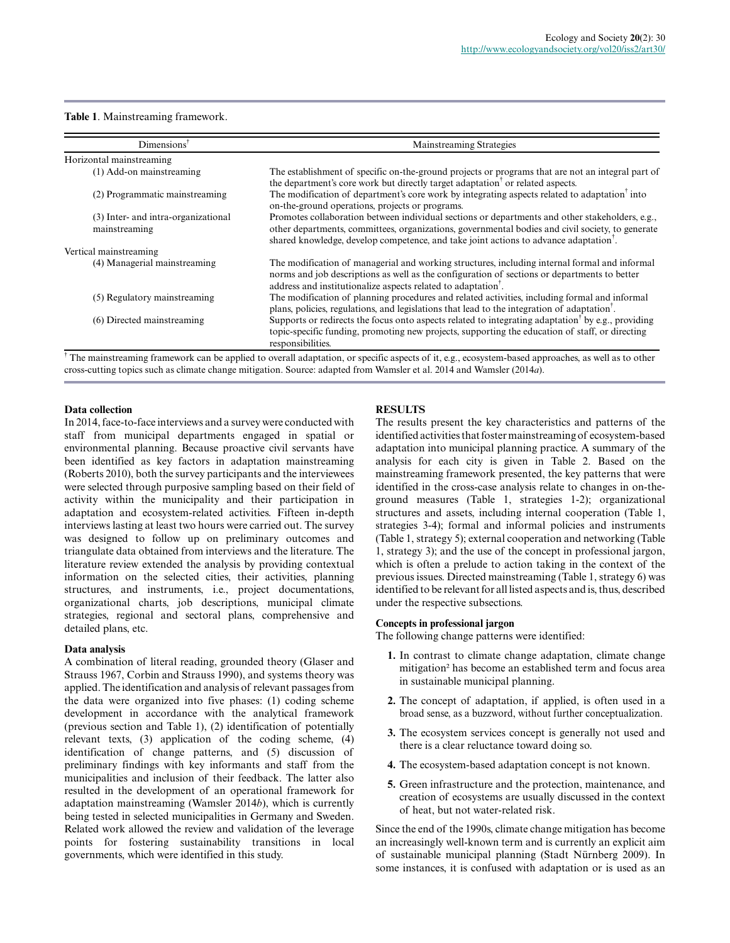#### **Table 1**. Mainstreaming framework.

| $Dimensions$ <sup>†</sup>                            | Mainstreaming Strategies                                                                                                                                                                                                                                                                                                     |  |  |
|------------------------------------------------------|------------------------------------------------------------------------------------------------------------------------------------------------------------------------------------------------------------------------------------------------------------------------------------------------------------------------------|--|--|
| Horizontal mainstreaming                             |                                                                                                                                                                                                                                                                                                                              |  |  |
| (1) Add-on mainstreaming                             | The establishment of specific on-the-ground projects or programs that are not an integral part of<br>the department's core work but directly target adaptation <sup>†</sup> or related aspects.                                                                                                                              |  |  |
| (2) Programmatic mainstreaming                       | The modification of department's core work by integrating aspects related to adaptation <sup>†</sup> into<br>on-the-ground operations, projects or programs.                                                                                                                                                                 |  |  |
| (3) Inter- and intra-organizational<br>mainstreaming | Promotes collaboration between individual sections or departments and other stakeholders, e.g.,<br>other departments, committees, organizations, governmental bodies and civil society, to generate<br>shared knowledge, develop competence, and take joint actions to advance adaptation <sup><math>\dot{\ }</math></sup> . |  |  |
| Vertical mainstreaming                               |                                                                                                                                                                                                                                                                                                                              |  |  |
| (4) Managerial mainstreaming                         | The modification of managerial and working structures, including internal formal and informal<br>norms and job descriptions as well as the configuration of sections or departments to better<br>address and institutionalize aspects related to adaptation <sup>†</sup> .                                                   |  |  |
| (5) Regulatory mainstreaming                         | The modification of planning procedures and related activities, including formal and informal<br>plans, policies, regulations, and legislations that lead to the integration of adaptation <sup><math>\dot{\ }</math></sup> .                                                                                                |  |  |
| (6) Directed mainstreaming                           | Supports or redirects the focus onto aspects related to integrating adaptation by e.g., providing<br>topic-specific funding, promoting new projects, supporting the education of staff, or directing<br>responsibilities.                                                                                                    |  |  |

† The mainstreaming framework can be applied to overall adaptation, or specific aspects of it, e.g., ecosystem-based approaches, as well as to other cross-cutting topics such as climate change mitigation. Source: adapted from Wamsler et al. 2014 and Wamsler (2014*a*).

## **Data collection**

In 2014, face-to-face interviews and a survey were conducted with staff from municipal departments engaged in spatial or environmental planning. Because proactive civil servants have been identified as key factors in adaptation mainstreaming (Roberts 2010), both the survey participants and the interviewees were selected through purposive sampling based on their field of activity within the municipality and their participation in adaptation and ecosystem-related activities. Fifteen in-depth interviews lasting at least two hours were carried out. The survey was designed to follow up on preliminary outcomes and triangulate data obtained from interviews and the literature. The literature review extended the analysis by providing contextual information on the selected cities, their activities, planning structures, and instruments, i.e., project documentations, organizational charts, job descriptions, municipal climate strategies, regional and sectoral plans, comprehensive and detailed plans, etc.

## **Data analysis**

A combination of literal reading, grounded theory (Glaser and Strauss 1967, Corbin and Strauss 1990), and systems theory was applied. The identification and analysis of relevant passages from the data were organized into five phases: (1) coding scheme development in accordance with the analytical framework (previous section and Table 1), (2) identification of potentially relevant texts, (3) application of the coding scheme, (4) identification of change patterns, and (5) discussion of preliminary findings with key informants and staff from the municipalities and inclusion of their feedback. The latter also resulted in the development of an operational framework for adaptation mainstreaming (Wamsler 2014*b*), which is currently being tested in selected municipalities in Germany and Sweden. Related work allowed the review and validation of the leverage points for fostering sustainability transitions in local governments, which were identified in this study.

## **RESULTS**

The results present the key characteristics and patterns of the identified activities that foster mainstreaming of ecosystem-based adaptation into municipal planning practice. A summary of the analysis for each city is given in Table 2. Based on the mainstreaming framework presented, the key patterns that were identified in the cross-case analysis relate to changes in on-theground measures (Table 1, strategies 1-2); organizational structures and assets, including internal cooperation (Table 1, strategies 3-4); formal and informal policies and instruments (Table 1, strategy 5); external cooperation and networking (Table 1, strategy 3); and the use of the concept in professional jargon, which is often a prelude to action taking in the context of the previous issues. Directed mainstreaming (Table 1, strategy 6) was identified to be relevant for all listed aspects and is, thus, described under the respective subsections.

#### **Concepts in professional jargon**

The following change patterns were identified:

- **1.** In contrast to climate change adaptation, climate change mitigation² has become an established term and focus area in sustainable municipal planning.
- **2.** The concept of adaptation, if applied, is often used in a broad sense, as a buzzword, without further conceptualization.
- **3.** The ecosystem services concept is generally not used and there is a clear reluctance toward doing so.
- **4.** The ecosystem-based adaptation concept is not known.
- **5.** Green infrastructure and the protection, maintenance, and creation of ecosystems are usually discussed in the context of heat, but not water-related risk.

Since the end of the 1990s, climate change mitigation has become an increasingly well-known term and is currently an explicit aim of sustainable municipal planning (Stadt Nürnberg 2009). In some instances, it is confused with adaptation or is used as an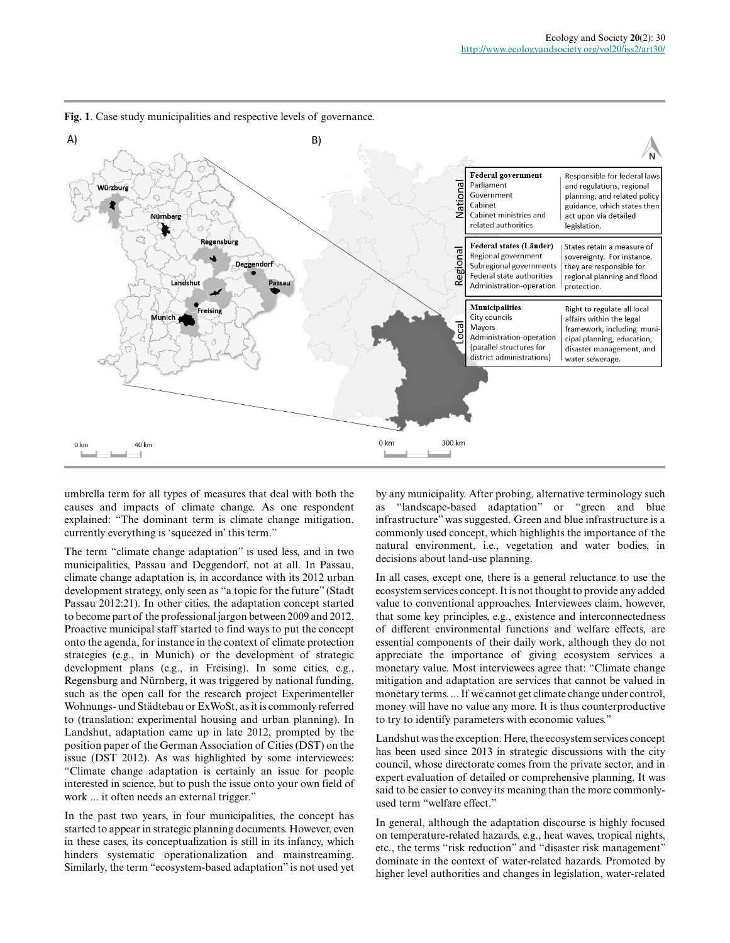

# **Fig. 1**. Case study municipalities and respective levels of governance.

umbrella term for all types of measures that deal with both the causes and impacts of climate change. As one respondent explained: "The dominant term is climate change mitigation, currently everything is 'squeezed in' this term."

The term "climate change adaptation" is used less, and in two municipalities, Passau and Deggendorf, not at all. In Passau, climate change adaptation is, in accordance with its 2012 urban development strategy, only seen as "a topic for the future" (Stadt Passau 2012:21). In other cities, the adaptation concept started to become part of the professional jargon between 2009 and 2012. Proactive municipal staff started to find ways to put the concept onto the agenda, for instance in the context of climate protection strategies (e.g., in Munich) or the development of strategic development plans (e.g., in Freising). In some cities, e.g., Regensburg and Nürnberg, it was triggered by national funding, such as the open call for the research project Experimenteller Wohnungs- und Städtebau or ExWoSt, as it is commonly referred to (translation: experimental housing and urban planning). In Landshut, adaptation came up in late 2012, prompted by the position paper of the German Association of Cities (DST) on the issue (DST 2012). As was highlighted by some interviewees: "Climate change adaptation is certainly an issue for people interested in science, but to push the issue onto your own field of work ... it often needs an external trigger."

In the past two years, in four municipalities, the concept has started to appear in strategic planning documents. However, even in these cases, its conceptualization is still in its infancy, which hinders systematic operationalization and mainstreaming. Similarly, the term "ecosystem-based adaptation" is not used yet by any municipality. After probing, alternative terminology such as "landscape-based adaptation" or "green and blue infrastructure" was suggested. Green and blue infrastructure is a commonly used concept, which highlights the importance of the natural environment, i.e., vegetation and water bodies, in decisions about land-use planning.

In all cases, except one, there is a general reluctance to use the ecosystem services concept. It is not thought to provide any added value to conventional approaches. Interviewees claim, however, that some key principles, e.g., existence and interconnectedness of different environmental functions and welfare effects, are essential components of their daily work, although they do not appreciate the importance of giving ecosystem services a monetary value. Most interviewees agree that: "Climate change mitigation and adaptation are services that cannot be valued in monetary terms. ... If we cannot get climate change under control, money will have no value any more. It is thus counterproductive to try to identify parameters with economic values."

Landshut was the exception. Here, the ecosystem services concept has been used since 2013 in strategic discussions with the city council, whose directorate comes from the private sector, and in expert evaluation of detailed or comprehensive planning. It was said to be easier to convey its meaning than the more commonlyused term "welfare effect."

In general, although the adaptation discourse is highly focused on temperature-related hazards, e.g., heat waves, tropical nights, etc., the terms "risk reduction" and "disaster risk management" dominate in the context of water-related hazards. Promoted by higher level authorities and changes in legislation, water-related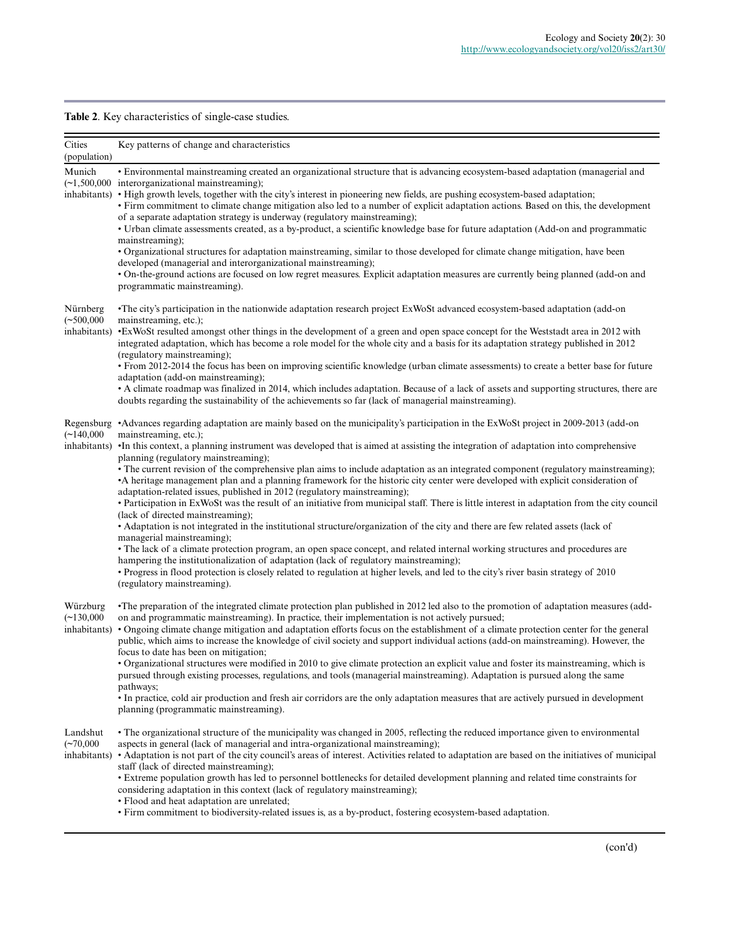**Table 2**. Key characteristics of single-case studies.

| Cities<br>(population)                     | Key patterns of change and characteristics                                                                                                                                                                                                                                                                                                                                                                                                                                                                                                                                                                                                                                                                                                                                                                                                                                                                                                                                                                                                                                                                                                                                                                                                                                                                                                                                                                                                                              |
|--------------------------------------------|-------------------------------------------------------------------------------------------------------------------------------------------------------------------------------------------------------------------------------------------------------------------------------------------------------------------------------------------------------------------------------------------------------------------------------------------------------------------------------------------------------------------------------------------------------------------------------------------------------------------------------------------------------------------------------------------------------------------------------------------------------------------------------------------------------------------------------------------------------------------------------------------------------------------------------------------------------------------------------------------------------------------------------------------------------------------------------------------------------------------------------------------------------------------------------------------------------------------------------------------------------------------------------------------------------------------------------------------------------------------------------------------------------------------------------------------------------------------------|
| Munich<br>$(-1,500,000)$<br>inhabitants)   | • Environmental mainstreaming created an organizational structure that is advancing ecosystem-based adaptation (managerial and<br>interorganizational mainstreaming);<br>• High growth levels, together with the city's interest in pioneering new fields, are pushing ecosystem-based adaptation;<br>• Firm commitment to climate change mitigation also led to a number of explicit adaptation actions. Based on this, the development<br>of a separate adaptation strategy is underway (regulatory mainstreaming);<br>• Urban climate assessments created, as a by-product, a scientific knowledge base for future adaptation (Add-on and programmatic<br>mainstreaming);<br>• Organizational structures for adaptation mainstreaming, similar to those developed for climate change mitigation, have been<br>developed (managerial and interorganizational mainstreaming);<br>• On-the-ground actions are focused on low regret measures. Explicit adaptation measures are currently being planned (add-on and<br>programmatic mainstreaming).                                                                                                                                                                                                                                                                                                                                                                                                                      |
| Nürnberg<br>$(*500,000$<br>inhabitants)    | •The city's participation in the nationwide adaptation research project ExWoSt advanced ecosystem-based adaptation (add-on<br>mainstreaming, etc.);<br>•ExWoSt resulted amongst other things in the development of a green and open space concept for the Weststadt area in 2012 with<br>integrated adaptation, which has become a role model for the whole city and a basis for its adaptation strategy published in 2012<br>(regulatory mainstreaming);<br>• From 2012-2014 the focus has been on improving scientific knowledge (urban climate assessments) to create a better base for future<br>adaptation (add-on mainstreaming);<br>• A climate roadmap was finalized in 2014, which includes adaptation. Because of a lack of assets and supporting structures, there are<br>doubts regarding the sustainability of the achievements so far (lack of managerial mainstreaming).                                                                                                                                                                                                                                                                                                                                                                                                                                                                                                                                                                                 |
| (~140,000                                  | Regensburg •Advances regarding adaptation are mainly based on the municipality's participation in the ExWoSt project in 2009-2013 (add-on<br>mainstreaming, etc.);<br>inhabitants) In this context, a planning instrument was developed that is aimed at assisting the integration of adaptation into comprehensive<br>planning (regulatory mainstreaming);<br>• The current revision of the comprehensive plan aims to include adaptation as an integrated component (regulatory mainstreaming);<br>•A heritage management plan and a planning framework for the historic city center were developed with explicit consideration of<br>adaptation-related issues, published in 2012 (regulatory mainstreaming);<br>• Participation in ExWoSt was the result of an initiative from municipal staff. There is little interest in adaptation from the city council<br>(lack of directed mainstreaming);<br>• Adaptation is not integrated in the institutional structure/organization of the city and there are few related assets (lack of<br>managerial mainstreaming);<br>• The lack of a climate protection program, an open space concept, and related internal working structures and procedures are<br>hampering the institutionalization of adaptation (lack of regulatory mainstreaming);<br>• Progress in flood protection is closely related to regulation at higher levels, and led to the city's river basin strategy of 2010<br>(regulatory mainstreaming). |
| Würzburg<br>$(-130,000)$                   | •The preparation of the integrated climate protection plan published in 2012 led also to the promotion of adaptation measures (add-<br>on and programmatic mainstreaming). In practice, their implementation is not actively pursued;<br>inhabitants) • Ongoing climate change mitigation and adaptation efforts focus on the establishment of a climate protection center for the general<br>public, which aims to increase the knowledge of civil society and support individual actions (add-on mainstreaming). However, the<br>focus to date has been on mitigation;<br>Organizational structures were modified in 2010 to give climate protection an explicit value and foster its mainstreaming, which is<br>pursued through existing processes, regulations, and tools (managerial mainstreaming). Adaptation is pursued along the same<br>pathways;<br>• In practice, cold air production and fresh air corridors are the only adaptation measures that are actively pursued in development<br>planning (programmatic mainstreaming).                                                                                                                                                                                                                                                                                                                                                                                                                           |
| Landshut<br>$(\sim 70,000$<br>inhabitants) | • The organizational structure of the municipality was changed in 2005, reflecting the reduced importance given to environmental<br>aspects in general (lack of managerial and intra-organizational mainstreaming);<br>• Adaptation is not part of the city council's areas of interest. Activities related to adaptation are based on the initiatives of municipal<br>staff (lack of directed mainstreaming);<br>• Extreme population growth has led to personnel bottlenecks for detailed development planning and related time constraints for<br>considering adaptation in this context (lack of regulatory mainstreaming);<br>• Flood and heat adaptation are unrelated;                                                                                                                                                                                                                                                                                                                                                                                                                                                                                                                                                                                                                                                                                                                                                                                           |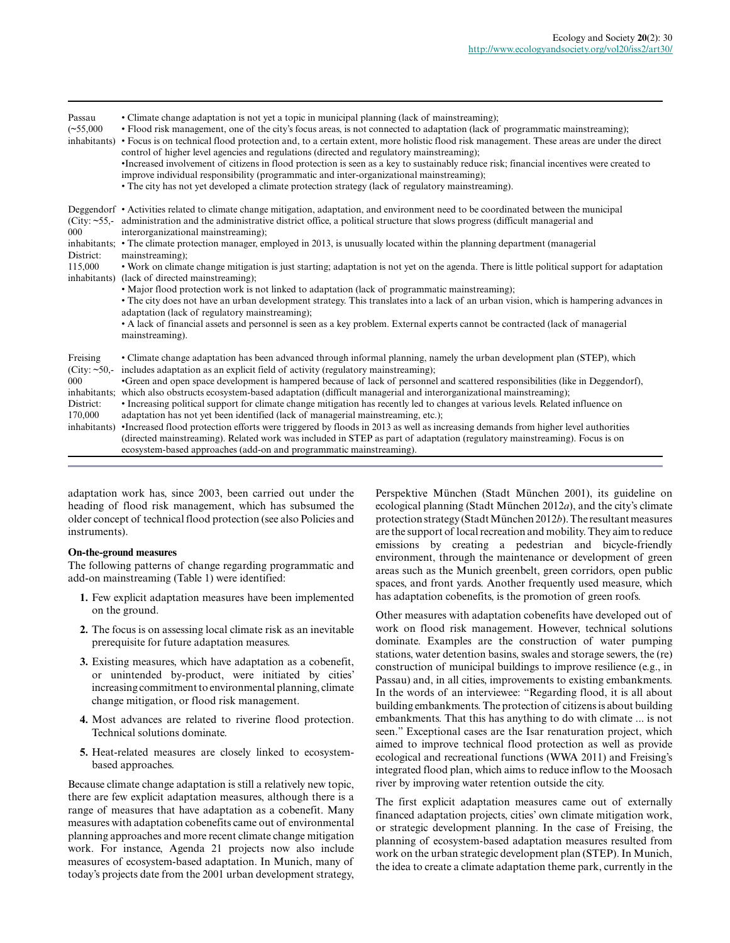| Passau<br>$(-55,000)$<br>inhabitants) | • Climate change adaptation is not yet a topic in municipal planning (lack of mainstreaming);<br>• Flood risk management, one of the city's focus areas, is not connected to adaptation (lack of programmatic mainstreaming);<br>• Focus is on technical flood protection and, to a certain extent, more holistic flood risk management. These areas are under the direct<br>control of higher level agencies and regulations (directed and regulatory mainstreaming);<br>•Increased involvement of citizens in flood protection is seen as a key to sustainably reduce risk; financial incentives were created to<br>improve individual responsibility (programmatic and inter-organizational mainstreaming);<br>• The city has not yet developed a climate protection strategy (lack of regulatory mainstreaming). |
|---------------------------------------|----------------------------------------------------------------------------------------------------------------------------------------------------------------------------------------------------------------------------------------------------------------------------------------------------------------------------------------------------------------------------------------------------------------------------------------------------------------------------------------------------------------------------------------------------------------------------------------------------------------------------------------------------------------------------------------------------------------------------------------------------------------------------------------------------------------------|
| (City: $~55$ .<br>$000 -$             | Deggendorf • Activities related to climate change mitigation, adaptation, and environment need to be coordinated between the municipal<br>administration and the administrative district office, a political structure that slows progress (difficult managerial and<br>interorganizational mainstreaming);                                                                                                                                                                                                                                                                                                                                                                                                                                                                                                          |
| inhabitants:                          | • The climate protection manager, employed in 2013, is unusually located within the planning department (managerial)                                                                                                                                                                                                                                                                                                                                                                                                                                                                                                                                                                                                                                                                                                 |
| District:                             | mainstreaming);                                                                                                                                                                                                                                                                                                                                                                                                                                                                                                                                                                                                                                                                                                                                                                                                      |
| 115,000                               | • Work on climate change mitigation is just starting; adaptation is not yet on the agenda. There is little political support for adaptation                                                                                                                                                                                                                                                                                                                                                                                                                                                                                                                                                                                                                                                                          |
| inhabitants)                          | (lack of directed mainstreaming);                                                                                                                                                                                                                                                                                                                                                                                                                                                                                                                                                                                                                                                                                                                                                                                    |
|                                       | • Major flood protection work is not linked to adaptation (lack of programmatic mainstreaming);<br>• The city does not have an urban development strategy. This translates into a lack of an urban vision, which is hampering advances in<br>adaptation (lack of regulatory mainstreaming);                                                                                                                                                                                                                                                                                                                                                                                                                                                                                                                          |
|                                       | • A lack of financial assets and personnel is seen as a key problem. External experts cannot be contracted (lack of managerial<br>mainstreaming).                                                                                                                                                                                                                                                                                                                                                                                                                                                                                                                                                                                                                                                                    |
| Freising                              | • Climate change adaptation has been advanced through informal planning, namely the urban development plan (STEP), which                                                                                                                                                                                                                                                                                                                                                                                                                                                                                                                                                                                                                                                                                             |
| (City: $~50,$ -                       | includes adaptation as an explicit field of activity (regulatory mainstreaming);                                                                                                                                                                                                                                                                                                                                                                                                                                                                                                                                                                                                                                                                                                                                     |
| 000                                   | •Green and open space development is hampered because of lack of personnel and scattered responsibilities (like in Deggendorf),                                                                                                                                                                                                                                                                                                                                                                                                                                                                                                                                                                                                                                                                                      |
| inhabitants:                          | which also obstructs ecosystem-based adaptation (difficult managerial and interorganizational mainstreaming);                                                                                                                                                                                                                                                                                                                                                                                                                                                                                                                                                                                                                                                                                                        |
| District:                             | • Increasing political support for climate change mitigation has recently led to changes at various levels. Related influence on                                                                                                                                                                                                                                                                                                                                                                                                                                                                                                                                                                                                                                                                                     |
| 170,000                               | adaptation has not yet been identified (lack of managerial mainstreaming, etc.);                                                                                                                                                                                                                                                                                                                                                                                                                                                                                                                                                                                                                                                                                                                                     |
| inhabitants)                          | •Increased flood protection efforts were triggered by floods in 2013 as well as increasing demands from higher level authorities<br>(directed mainstreaming). Related work was included in STEP as part of adaptation (regulatory mainstreaming). Focus is on<br>ecosystem-based approaches (add-on and programmatic mainstreaming).                                                                                                                                                                                                                                                                                                                                                                                                                                                                                 |

adaptation work has, since 2003, been carried out under the heading of flood risk management, which has subsumed the older concept of technical flood protection (see also Policies and instruments).

## **On-the-ground measures**

The following patterns of change regarding programmatic and add-on mainstreaming (Table 1) were identified:

- **1.** Few explicit adaptation measures have been implemented on the ground.
- **2.** The focus is on assessing local climate risk as an inevitable prerequisite for future adaptation measures.
- **3.** Existing measures, which have adaptation as a cobenefit, or unintended by-product, were initiated by cities' increasing commitment to environmental planning, climate change mitigation, or flood risk management.
- **4.** Most advances are related to riverine flood protection. Technical solutions dominate.
- **5.** Heat-related measures are closely linked to ecosystembased approaches.

Because climate change adaptation is still a relatively new topic, there are few explicit adaptation measures, although there is a range of measures that have adaptation as a cobenefit. Many measures with adaptation cobenefits came out of environmental planning approaches and more recent climate change mitigation work. For instance, Agenda 21 projects now also include measures of ecosystem-based adaptation. In Munich, many of today's projects date from the 2001 urban development strategy, Perspektive München (Stadt München 2001), its guideline on ecological planning (Stadt München 2012*a*), and the city's climate protection strategy (Stadt München 2012*b*). The resultant measures are the support of local recreation and mobility. They aim to reduce emissions by creating a pedestrian and bicycle-friendly environment, through the maintenance or development of green areas such as the Munich greenbelt, green corridors, open public spaces, and front yards. Another frequently used measure, which has adaptation cobenefits, is the promotion of green roofs.

Other measures with adaptation cobenefits have developed out of work on flood risk management. However, technical solutions dominate. Examples are the construction of water pumping stations, water detention basins, swales and storage sewers, the (re) construction of municipal buildings to improve resilience (e.g., in Passau) and, in all cities, improvements to existing embankments. In the words of an interviewee: "Regarding flood, it is all about building embankments. The protection of citizens is about building embankments. That this has anything to do with climate ... is not seen." Exceptional cases are the Isar renaturation project, which aimed to improve technical flood protection as well as provide ecological and recreational functions (WWA 2011) and Freising's integrated flood plan, which aims to reduce inflow to the Moosach river by improving water retention outside the city.

The first explicit adaptation measures came out of externally financed adaptation projects, cities' own climate mitigation work, or strategic development planning. In the case of Freising, the planning of ecosystem-based adaptation measures resulted from work on the urban strategic development plan (STEP). In Munich, the idea to create a climate adaptation theme park, currently in the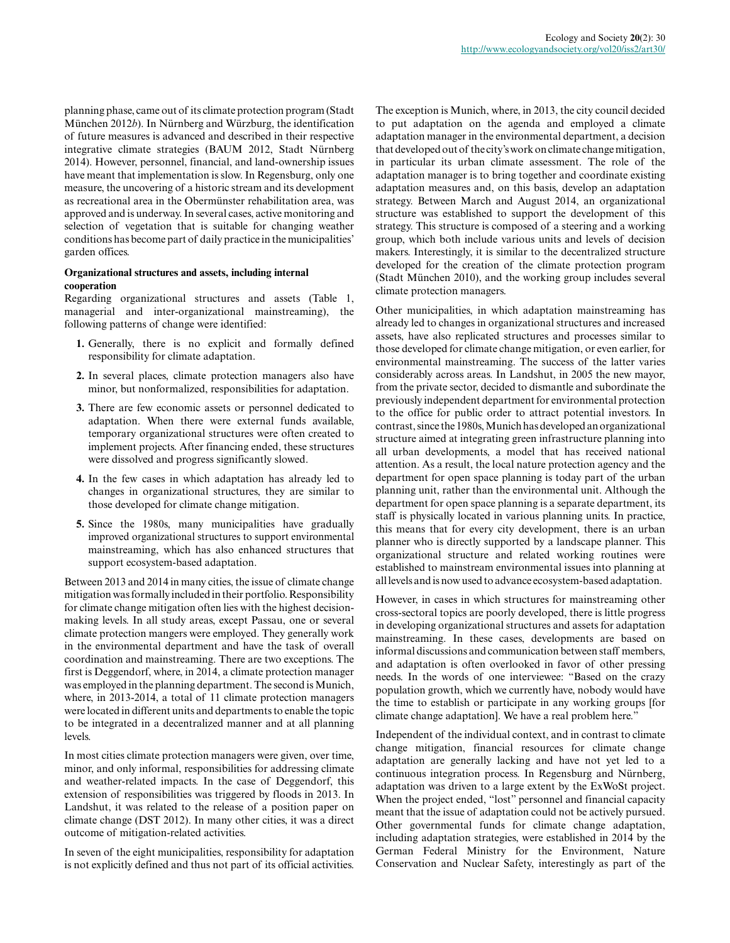planning phase, came out of its climate protection program (Stadt München 2012*b*). In Nürnberg and Würzburg, the identification of future measures is advanced and described in their respective integrative climate strategies (BAUM 2012, Stadt Nürnberg 2014). However, personnel, financial, and land-ownership issues have meant that implementation is slow. In Regensburg, only one measure, the uncovering of a historic stream and its development as recreational area in the Obermünster rehabilitation area, was approved and is underway. In several cases, active monitoring and selection of vegetation that is suitable for changing weather conditions has become part of daily practice in the municipalities' garden offices.

## **Organizational structures and assets, including internal cooperation**

Regarding organizational structures and assets (Table 1, managerial and inter-organizational mainstreaming), the following patterns of change were identified:

- **1.** Generally, there is no explicit and formally defined responsibility for climate adaptation.
- **2.** In several places, climate protection managers also have minor, but nonformalized, responsibilities for adaptation.
- **3.** There are few economic assets or personnel dedicated to adaptation. When there were external funds available, temporary organizational structures were often created to implement projects. After financing ended, these structures were dissolved and progress significantly slowed.
- **4.** In the few cases in which adaptation has already led to changes in organizational structures, they are similar to those developed for climate change mitigation.
- **5.** Since the 1980s, many municipalities have gradually improved organizational structures to support environmental mainstreaming, which has also enhanced structures that support ecosystem-based adaptation.

Between 2013 and 2014 in many cities, the issue of climate change mitigation was formally included in their portfolio. Responsibility for climate change mitigation often lies with the highest decisionmaking levels. In all study areas, except Passau, one or several climate protection mangers were employed. They generally work in the environmental department and have the task of overall coordination and mainstreaming. There are two exceptions. The first is Deggendorf, where, in 2014, a climate protection manager was employed in the planning department. The second is Munich, where, in 2013-2014, a total of 11 climate protection managers were located in different units and departments to enable the topic to be integrated in a decentralized manner and at all planning levels.

In most cities climate protection managers were given, over time, minor, and only informal, responsibilities for addressing climate and weather-related impacts. In the case of Deggendorf, this extension of responsibilities was triggered by floods in 2013. In Landshut, it was related to the release of a position paper on climate change (DST 2012). In many other cities, it was a direct outcome of mitigation-related activities.

In seven of the eight municipalities, responsibility for adaptation is not explicitly defined and thus not part of its official activities.

The exception is Munich, where, in 2013, the city council decided to put adaptation on the agenda and employed a climate adaptation manager in the environmental department, a decision that developed out of the city's work on climate change mitigation, in particular its urban climate assessment. The role of the adaptation manager is to bring together and coordinate existing adaptation measures and, on this basis, develop an adaptation strategy. Between March and August 2014, an organizational structure was established to support the development of this strategy. This structure is composed of a steering and a working group, which both include various units and levels of decision makers. Interestingly, it is similar to the decentralized structure developed for the creation of the climate protection program (Stadt München 2010), and the working group includes several climate protection managers.

Other municipalities, in which adaptation mainstreaming has already led to changes in organizational structures and increased assets, have also replicated structures and processes similar to those developed for climate change mitigation, or even earlier, for environmental mainstreaming. The success of the latter varies considerably across areas. In Landshut, in 2005 the new mayor, from the private sector, decided to dismantle and subordinate the previously independent department for environmental protection to the office for public order to attract potential investors. In contrast, since the 1980s, Munich has developed an organizational structure aimed at integrating green infrastructure planning into all urban developments, a model that has received national attention. As a result, the local nature protection agency and the department for open space planning is today part of the urban planning unit, rather than the environmental unit. Although the department for open space planning is a separate department, its staff is physically located in various planning units. In practice, this means that for every city development, there is an urban planner who is directly supported by a landscape planner. This organizational structure and related working routines were established to mainstream environmental issues into planning at all levels and is now used to advance ecosystem-based adaptation.

However, in cases in which structures for mainstreaming other cross-sectoral topics are poorly developed, there is little progress in developing organizational structures and assets for adaptation mainstreaming. In these cases, developments are based on informal discussions and communication between staff members, and adaptation is often overlooked in favor of other pressing needs. In the words of one interviewee: "Based on the crazy population growth, which we currently have, nobody would have the time to establish or participate in any working groups [for climate change adaptation]. We have a real problem here."

Independent of the individual context, and in contrast to climate change mitigation, financial resources for climate change adaptation are generally lacking and have not yet led to a continuous integration process. In Regensburg and Nürnberg, adaptation was driven to a large extent by the ExWoSt project. When the project ended, "lost" personnel and financial capacity meant that the issue of adaptation could not be actively pursued. Other governmental funds for climate change adaptation, including adaptation strategies, were established in 2014 by the German Federal Ministry for the Environment, Nature Conservation and Nuclear Safety, interestingly as part of the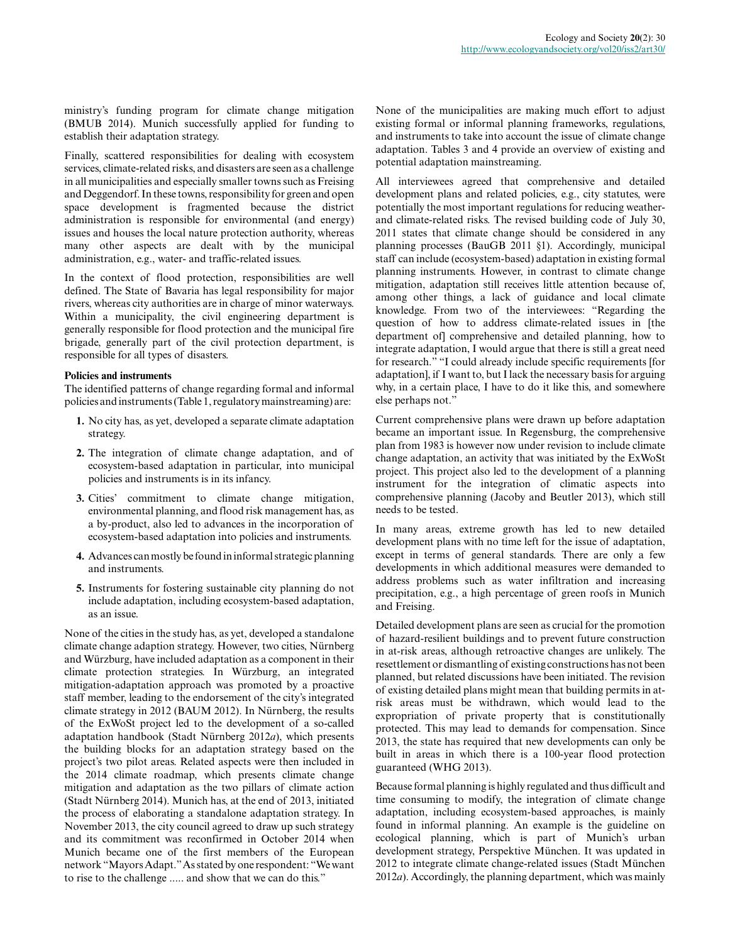ministry's funding program for climate change mitigation (BMUB 2014). Munich successfully applied for funding to establish their adaptation strategy.

Finally, scattered responsibilities for dealing with ecosystem services, climate-related risks, and disasters are seen as a challenge in all municipalities and especially smaller towns such as Freising and Deggendorf. In these towns, responsibility for green and open space development is fragmented because the district administration is responsible for environmental (and energy) issues and houses the local nature protection authority, whereas many other aspects are dealt with by the municipal administration, e.g., water- and traffic-related issues.

In the context of flood protection, responsibilities are well defined. The State of Bavaria has legal responsibility for major rivers, whereas city authorities are in charge of minor waterways. Within a municipality, the civil engineering department is generally responsible for flood protection and the municipal fire brigade, generally part of the civil protection department, is responsible for all types of disasters.

## **Policies and instruments**

The identified patterns of change regarding formal and informal policies and instruments (Table 1, regulatory mainstreaming) are:

- **1.** No city has, as yet, developed a separate climate adaptation strategy.
- **2.** The integration of climate change adaptation, and of ecosystem-based adaptation in particular, into municipal policies and instruments is in its infancy.
- **3.** Cities' commitment to climate change mitigation, environmental planning, and flood risk management has, as a by-product, also led to advances in the incorporation of ecosystem-based adaptation into policies and instruments.
- **4.** Advances can mostly be found in informal strategic planning and instruments.
- **5.** Instruments for fostering sustainable city planning do not include adaptation, including ecosystem-based adaptation, as an issue.

None of the cities in the study has, as yet, developed a standalone climate change adaption strategy. However, two cities, Nürnberg and Würzburg, have included adaptation as a component in their climate protection strategies. In Würzburg, an integrated mitigation-adaptation approach was promoted by a proactive staff member, leading to the endorsement of the city's integrated climate strategy in 2012 (BAUM 2012). In Nürnberg, the results of the ExWoSt project led to the development of a so-called adaptation handbook (Stadt Nürnberg 2012*a*), which presents the building blocks for an adaptation strategy based on the project's two pilot areas. Related aspects were then included in the 2014 climate roadmap, which presents climate change mitigation and adaptation as the two pillars of climate action (Stadt Nürnberg 2014). Munich has, at the end of 2013, initiated the process of elaborating a standalone adaptation strategy. In November 2013, the city council agreed to draw up such strategy and its commitment was reconfirmed in October 2014 when Munich became one of the first members of the European network "Mayors Adapt." As stated by one respondent: "We want to rise to the challenge ..... and show that we can do this."

None of the municipalities are making much effort to adjust existing formal or informal planning frameworks, regulations, and instruments to take into account the issue of climate change adaptation. Tables 3 and 4 provide an overview of existing and potential adaptation mainstreaming.

All interviewees agreed that comprehensive and detailed development plans and related policies, e.g., city statutes, were potentially the most important regulations for reducing weatherand climate-related risks. The revised building code of July 30, 2011 states that climate change should be considered in any planning processes (BauGB 2011 §1). Accordingly, municipal staff can include (ecosystem-based) adaptation in existing formal planning instruments. However, in contrast to climate change mitigation, adaptation still receives little attention because of, among other things, a lack of guidance and local climate knowledge. From two of the interviewees: "Regarding the question of how to address climate-related issues in [the department of] comprehensive and detailed planning, how to integrate adaptation, I would argue that there is still a great need for research." "I could already include specific requirements [for adaptation], if I want to, but I lack the necessary basis for arguing why, in a certain place, I have to do it like this, and somewhere else perhaps not."

Current comprehensive plans were drawn up before adaptation became an important issue. In Regensburg, the comprehensive plan from 1983 is however now under revision to include climate change adaptation, an activity that was initiated by the ExWoSt project. This project also led to the development of a planning instrument for the integration of climatic aspects into comprehensive planning (Jacoby and Beutler 2013), which still needs to be tested.

In many areas, extreme growth has led to new detailed development plans with no time left for the issue of adaptation, except in terms of general standards. There are only a few developments in which additional measures were demanded to address problems such as water infiltration and increasing precipitation, e.g., a high percentage of green roofs in Munich and Freising.

Detailed development plans are seen as crucial for the promotion of hazard-resilient buildings and to prevent future construction in at-risk areas, although retroactive changes are unlikely. The resettlement or dismantling of existing constructions has not been planned, but related discussions have been initiated. The revision of existing detailed plans might mean that building permits in atrisk areas must be withdrawn, which would lead to the expropriation of private property that is constitutionally protected. This may lead to demands for compensation. Since 2013, the state has required that new developments can only be built in areas in which there is a 100-year flood protection guaranteed (WHG 2013).

Because formal planning is highly regulated and thus difficult and time consuming to modify, the integration of climate change adaptation, including ecosystem-based approaches, is mainly found in informal planning. An example is the guideline on ecological planning, which is part of Munich's urban development strategy, Perspektive München. It was updated in 2012 to integrate climate change-related issues (Stadt München 2012*a*). Accordingly, the planning department, which was mainly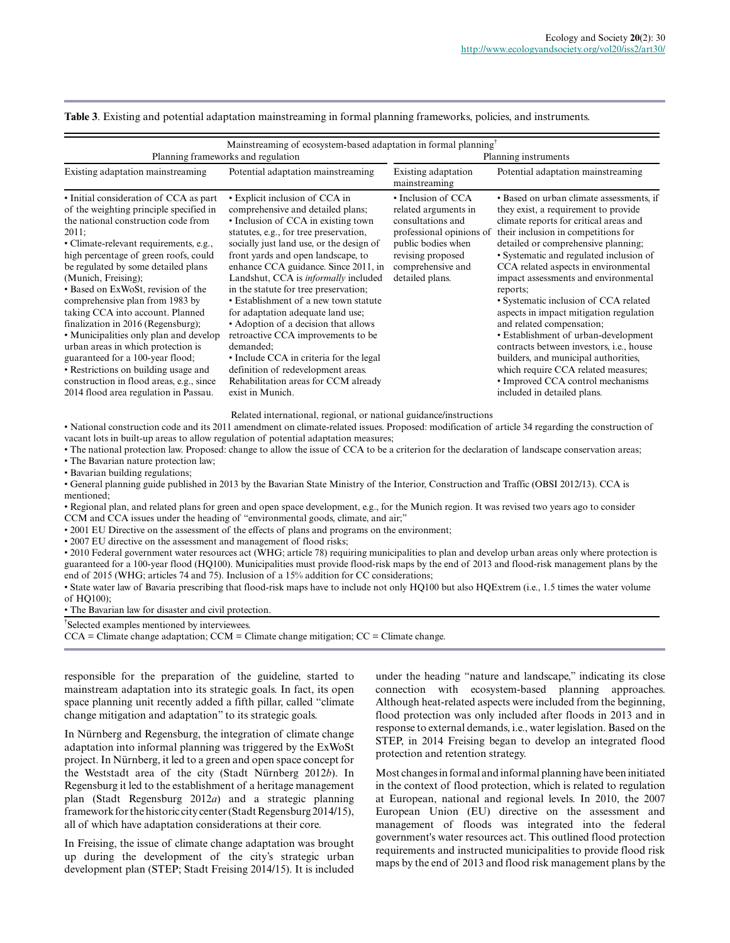**Table 3**. Existing and potential adaptation mainstreaming in formal planning frameworks, policies, and instruments.

|                                                                                                                                                                                                                                                                                                                                                                                                                                                                                                                                                                                                                                                                                           | Mainstreaming of ecosystem-based adaptation in formal planning<br>Planning frameworks and regulation                                                                                                                                                                                                                                                                                                                                                                                                                                                                                                                                                                                         | Planning instruments                                                                                                                                                           |                                                                                                                                                                                                                                                                                                                                                                                                                                                                                                                                                                                                                                                                                                                 |  |
|-------------------------------------------------------------------------------------------------------------------------------------------------------------------------------------------------------------------------------------------------------------------------------------------------------------------------------------------------------------------------------------------------------------------------------------------------------------------------------------------------------------------------------------------------------------------------------------------------------------------------------------------------------------------------------------------|----------------------------------------------------------------------------------------------------------------------------------------------------------------------------------------------------------------------------------------------------------------------------------------------------------------------------------------------------------------------------------------------------------------------------------------------------------------------------------------------------------------------------------------------------------------------------------------------------------------------------------------------------------------------------------------------|--------------------------------------------------------------------------------------------------------------------------------------------------------------------------------|-----------------------------------------------------------------------------------------------------------------------------------------------------------------------------------------------------------------------------------------------------------------------------------------------------------------------------------------------------------------------------------------------------------------------------------------------------------------------------------------------------------------------------------------------------------------------------------------------------------------------------------------------------------------------------------------------------------------|--|
| Existing adaptation mainstreaming                                                                                                                                                                                                                                                                                                                                                                                                                                                                                                                                                                                                                                                         | Potential adaptation mainstreaming                                                                                                                                                                                                                                                                                                                                                                                                                                                                                                                                                                                                                                                           | Existing adaptation<br>mainstreaming                                                                                                                                           | Potential adaptation mainstreaming                                                                                                                                                                                                                                                                                                                                                                                                                                                                                                                                                                                                                                                                              |  |
| • Initial consideration of CCA as part<br>of the weighting principle specified in<br>the national construction code from<br>$2011$ ;<br>• Climate-relevant requirements, e.g.,<br>high percentage of green roofs, could<br>be regulated by some detailed plans<br>(Munich, Freising);<br>• Based on ExWoSt, revision of the<br>comprehensive plan from 1983 by<br>taking CCA into account. Planned<br>finalization in 2016 (Regensburg);<br>• Municipalities only plan and develop<br>urban areas in which protection is<br>guaranteed for a 100-year flood;<br>• Restrictions on building usage and<br>construction in flood areas, e.g., since<br>2014 flood area regulation in Passau. | • Explicit inclusion of CCA in<br>comprehensive and detailed plans;<br>• Inclusion of CCA in existing town<br>statutes, e.g., for tree preservation,<br>socially just land use, or the design of<br>front yards and open landscape, to<br>enhance CCA guidance. Since 2011, in<br>Landshut, CCA is <i>informally</i> included<br>in the statute for tree preservation;<br>• Establishment of a new town statute<br>for adaptation adequate land use;<br>• Adoption of a decision that allows<br>retroactive CCA improvements to be<br>demanded:<br>• Include CCA in criteria for the legal<br>definition of redevelopment areas.<br>Rehabilitation areas for CCM already<br>exist in Munich. | • Inclusion of CCA<br>related arguments in<br>consultations and<br>professional opinions of<br>public bodies when<br>revising proposed<br>comprehensive and<br>detailed plans. | • Based on urban climate assessments, if<br>they exist, a requirement to provide<br>climate reports for critical areas and<br>their inclusion in competitions for<br>detailed or comprehensive planning;<br>• Systematic and regulated inclusion of<br>CCA related aspects in environmental<br>impact assessments and environmental<br>reports;<br>• Systematic inclusion of CCA related<br>aspects in impact mitigation regulation<br>and related compensation;<br>• Establishment of urban-development<br>contracts between investors, <i>i.e.</i> , house<br>builders, and municipal authorities,<br>which require CCA related measures;<br>• Improved CCA control mechanisms<br>included in detailed plans. |  |

Related international, regional, or national guidance/instructions

• National construction code and its 2011 amendment on climate-related issues. Proposed: modification of article 34 regarding the construction of vacant lots in built-up areas to allow regulation of potential adaptation measures;

• The national protection law. Proposed: change to allow the issue of CCA to be a criterion for the declaration of landscape conservation areas;

• The Bavarian nature protection law;

• Bavarian building regulations;

• General planning guide published in 2013 by the Bavarian State Ministry of the Interior, Construction and Traffic (OBSI 2012/13). CCA is mentioned;

• Regional plan, and related plans for green and open space development, e.g., for the Munich region. It was revised two years ago to consider CCM and CCA issues under the heading of "environmental goods, climate, and air;"

• 2001 EU Directive on the assessment of the effects of plans and programs on the environment;

• 2007 EU directive on the assessment and management of flood risks;

• 2010 Federal government water resources act (WHG; article 78) requiring municipalities to plan and develop urban areas only where protection is guaranteed for a 100-year flood (HQ100). Municipalities must provide flood-risk maps by the end of 2013 and flood-risk management plans by the end of 2015 (WHG; articles 74 and 75). Inclusion of a 15% addition for CC considerations;

• State water law of Bavaria prescribing that flood-risk maps have to include not only HQ100 but also HQExtrem (i.e., 1.5 times the water volume of HQ100);

• The Bavarian law for disaster and civil protection.

† Selected examples mentioned by interviewees.

 $CCA =$  Climate change adaptation;  $CCM =$  Climate change mitigation;  $CC =$  Climate change.

responsible for the preparation of the guideline, started to mainstream adaptation into its strategic goals. In fact, its open space planning unit recently added a fifth pillar, called "climate change mitigation and adaptation" to its strategic goals.

In Nürnberg and Regensburg, the integration of climate change adaptation into informal planning was triggered by the ExWoSt project. In Nürnberg, it led to a green and open space concept for the Weststadt area of the city (Stadt Nürnberg 2012*b*). In Regensburg it led to the establishment of a heritage management plan (Stadt Regensburg 2012*a*) and a strategic planning framework for the historic city center (Stadt Regensburg 2014/15), all of which have adaptation considerations at their core.

In Freising, the issue of climate change adaptation was brought up during the development of the city's strategic urban development plan (STEP; Stadt Freising 2014/15). It is included

under the heading "nature and landscape," indicating its close connection with ecosystem-based planning approaches. Although heat-related aspects were included from the beginning, flood protection was only included after floods in 2013 and in response to external demands, i.e., water legislation. Based on the STEP, in 2014 Freising began to develop an integrated flood protection and retention strategy.

Most changes in formal and informal planning have been initiated in the context of flood protection, which is related to regulation at European, national and regional levels. In 2010, the 2007 European Union (EU) directive on the assessment and management of floods was integrated into the federal government's water resources act. This outlined flood protection requirements and instructed municipalities to provide flood risk maps by the end of 2013 and flood risk management plans by the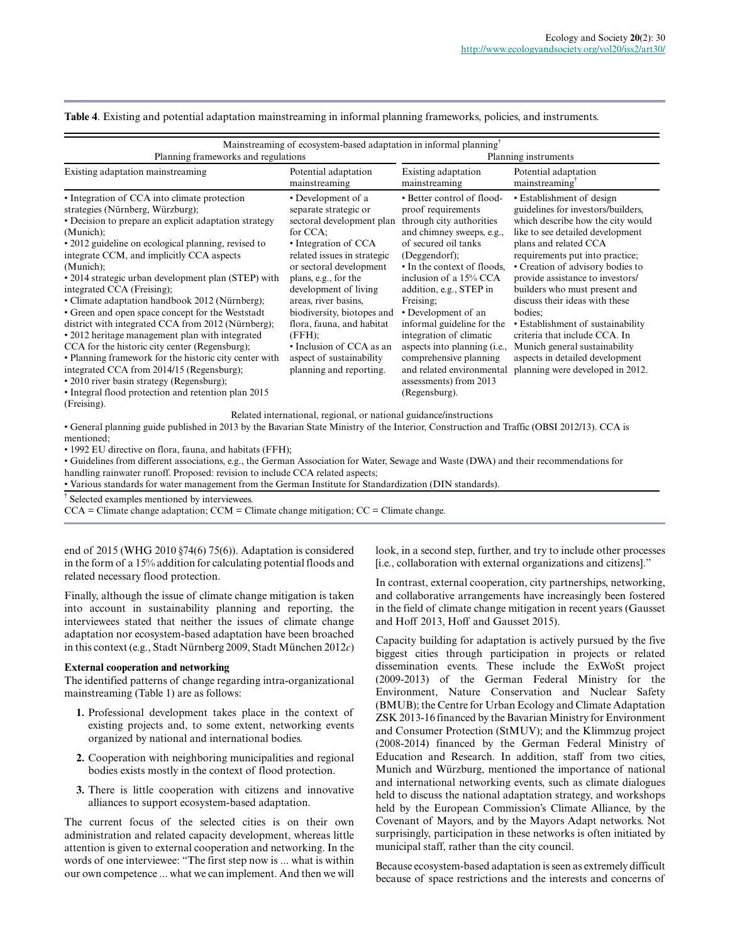**Table 4**. Existing and potential adaptation mainstreaming in informal planning frameworks, policies, and instruments.

| Planning frameworks and regulations                                                                                                                                                                                                                                                                                                                                                                                                                                                                                                                                                                                                                                                                                                                                                                                                                     | Mainstreaming of ecosystem-based adaptation in informal planning <sup>1</sup><br>Planning instruments                                                                                                                                                                                                                                                                                                   |                                                                                                                                                                                                                                                                                                                                                                                                                                                                       |                                                                                                                                                                                                                                                                                                                                                                                                                                                                                                                                          |  |  |  |
|---------------------------------------------------------------------------------------------------------------------------------------------------------------------------------------------------------------------------------------------------------------------------------------------------------------------------------------------------------------------------------------------------------------------------------------------------------------------------------------------------------------------------------------------------------------------------------------------------------------------------------------------------------------------------------------------------------------------------------------------------------------------------------------------------------------------------------------------------------|---------------------------------------------------------------------------------------------------------------------------------------------------------------------------------------------------------------------------------------------------------------------------------------------------------------------------------------------------------------------------------------------------------|-----------------------------------------------------------------------------------------------------------------------------------------------------------------------------------------------------------------------------------------------------------------------------------------------------------------------------------------------------------------------------------------------------------------------------------------------------------------------|------------------------------------------------------------------------------------------------------------------------------------------------------------------------------------------------------------------------------------------------------------------------------------------------------------------------------------------------------------------------------------------------------------------------------------------------------------------------------------------------------------------------------------------|--|--|--|
| Existing adaptation mainstreaming                                                                                                                                                                                                                                                                                                                                                                                                                                                                                                                                                                                                                                                                                                                                                                                                                       | Potential adaptation<br>mainstreaming                                                                                                                                                                                                                                                                                                                                                                   | Existing adaptation<br>mainstreaming                                                                                                                                                                                                                                                                                                                                                                                                                                  | Potential adaptation<br>mainstreaming                                                                                                                                                                                                                                                                                                                                                                                                                                                                                                    |  |  |  |
| • Integration of CCA into climate protection<br>strategies (Nürnberg, Würzburg);<br>• Decision to prepare an explicit adaptation strategy<br>(Munich);<br>• 2012 guideline on ecological planning, revised to<br>integrate CCM, and implicitly CCA aspects<br>(Munich);<br>• 2014 strategic urban development plan (STEP) with<br>integrated CCA (Freising);<br>• Climate adaptation handbook 2012 (Nürnberg);<br>• Green and open space concept for the Weststadt<br>district with integrated CCA from 2012 (Nürnberg);<br>• 2012 heritage management plan with integrated<br>CCA for the historic city center (Regensburg);<br>• Planning framework for the historic city center with<br>integrated CCA from 2014/15 (Regensburg);<br>• 2010 river basin strategy (Regensburg);<br>• Integral flood protection and retention plan 2015<br>(Freising). | • Development of a<br>separate strategic or<br>sectoral development plan<br>for CCA:<br>• Integration of CCA<br>related issues in strategic<br>or sectoral development<br>plans, e.g., for the<br>development of living<br>areas, river basins,<br>biodiversity, biotopes and<br>flora, fauna, and habitat<br>(FFH);<br>• Inclusion of CCA as an<br>aspect of sustainability<br>planning and reporting. | • Better control of flood-<br>proof requirements<br>through city authorities<br>and chimney sweeps, e.g.,<br>of secured oil tanks<br>(Deggendorf);<br>• In the context of floods,<br>inclusion of a 15% CCA<br>addition, e.g., STEP in<br>Freising;<br>• Development of an<br>informal guideline for the<br>integration of climatic<br>aspects into planning (i.e.,<br>comprehensive planning<br>and related environmental<br>assessments) from 2013<br>(Regensburg). | • Establishment of design<br>guidelines for investors/builders,<br>which describe how the city would<br>like to see detailed development<br>plans and related CCA<br>requirements put into practice;<br>• Creation of advisory bodies to<br>provide assistance to investors/<br>builders who must present and<br>discuss their ideas with these<br>bodies:<br>• Establishment of sustainability<br>criteria that include CCA. In<br>Munich general sustainability<br>aspects in detailed development<br>planning were developed in 2012. |  |  |  |
| Related international, regional, or national guidance/instructions<br>• General planning guide published in 2013 by the Bavarian State Ministry of the Interior, Construction and Traffic (OBSI 2012/13). CCA is<br>mentioned:                                                                                                                                                                                                                                                                                                                                                                                                                                                                                                                                                                                                                          |                                                                                                                                                                                                                                                                                                                                                                                                         |                                                                                                                                                                                                                                                                                                                                                                                                                                                                       |                                                                                                                                                                                                                                                                                                                                                                                                                                                                                                                                          |  |  |  |

• 1992 EU directive on flora, fauna, and habitats (FFH);

• Guidelines from different associations, e.g., the German Association for Water, Sewage and Waste (DWA) and their recommendations for handling rainwater runoff. Proposed: revision to include CCA related aspects;

• Various standards for water management from the German Institute for Standardization (DIN standards).

† Selected examples mentioned by interviewees.

 $CCA =$  Climate change adaptation;  $CCM =$  Climate change mitigation;  $CC =$  Climate change.

end of 2015 (WHG 2010 §74(6) 75(6)). Adaptation is considered in the form of a 15% addition for calculating potential floods and related necessary flood protection.

Finally, although the issue of climate change mitigation is taken into account in sustainability planning and reporting, the interviewees stated that neither the issues of climate change adaptation nor ecosystem-based adaptation have been broached in this context (e.g., Stadt Nürnberg 2009, Stadt München 2012*c*)

#### **External cooperation and networking**

The identified patterns of change regarding intra-organizational mainstreaming (Table 1) are as follows:

- **1.** Professional development takes place in the context of existing projects and, to some extent, networking events organized by national and international bodies.
- **2.** Cooperation with neighboring municipalities and regional bodies exists mostly in the context of flood protection.
- **3.** There is little cooperation with citizens and innovative alliances to support ecosystem-based adaptation.

The current focus of the selected cities is on their own administration and related capacity development, whereas little attention is given to external cooperation and networking. In the words of one interviewee: "The first step now is ... what is within our own competence ... what we can implement. And then we will look, in a second step, further, and try to include other processes [i.e., collaboration with external organizations and citizens]."

In contrast, external cooperation, city partnerships, networking, and collaborative arrangements have increasingly been fostered in the field of climate change mitigation in recent years (Gausset and Hoff 2013, Hoff and Gausset 2015).

Capacity building for adaptation is actively pursued by the five biggest cities through participation in projects or related dissemination events. These include the ExWoSt project (2009-2013) of the German Federal Ministry for the Environment, Nature Conservation and Nuclear Safety (BMUB); the Centre for Urban Ecology and Climate Adaptation ZSK 2013-16 financed by the Bavarian Ministry for Environment and Consumer Protection (StMUV); and the Klimmzug project (2008-2014) financed by the German Federal Ministry of Education and Research. In addition, staff from two cities, Munich and Würzburg, mentioned the importance of national and international networking events, such as climate dialogues held to discuss the national adaptation strategy, and workshops held by the European Commission's Climate Alliance, by the Covenant of Mayors, and by the Mayors Adapt networks. Not surprisingly, participation in these networks is often initiated by municipal staff, rather than the city council.

Because ecosystem-based adaptation is seen as extremely difficult because of space restrictions and the interests and concerns of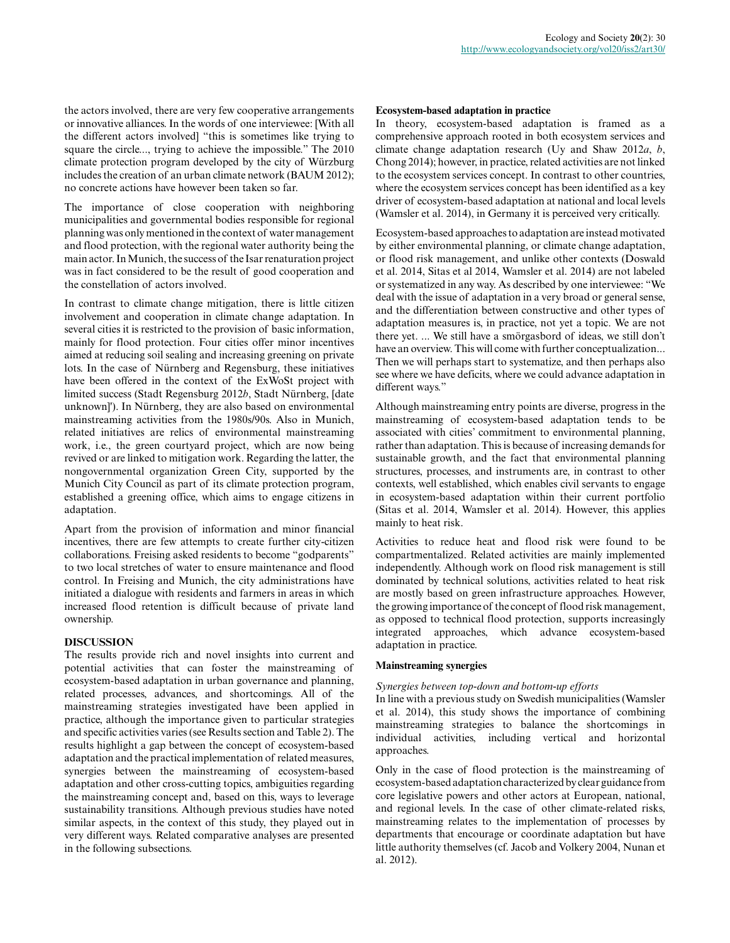the actors involved, there are very few cooperative arrangements or innovative alliances. In the words of one interviewee: [With all the different actors involved] "this is sometimes like trying to square the circle..., trying to achieve the impossible." The 2010 climate protection program developed by the city of Würzburg includes the creation of an urban climate network (BAUM 2012); no concrete actions have however been taken so far.

The importance of close cooperation with neighboring municipalities and governmental bodies responsible for regional planning was only mentioned in the context of water management and flood protection, with the regional water authority being the main actor. In Munich, the success of the Isar renaturation project was in fact considered to be the result of good cooperation and the constellation of actors involved.

In contrast to climate change mitigation, there is little citizen involvement and cooperation in climate change adaptation. In several cities it is restricted to the provision of basic information, mainly for flood protection. Four cities offer minor incentives aimed at reducing soil sealing and increasing greening on private lots. In the case of Nürnberg and Regensburg, these initiatives have been offered in the context of the ExWoSt project with limited success (Stadt Regensburg 2012*b*, Stadt Nürnberg, [date unknown]'). In Nürnberg, they are also based on environmental mainstreaming activities from the 1980s/90s. Also in Munich, related initiatives are relics of environmental mainstreaming work, i.e., the green courtyard project, which are now being revived or are linked to mitigation work. Regarding the latter, the nongovernmental organization Green City, supported by the Munich City Council as part of its climate protection program, established a greening office, which aims to engage citizens in adaptation.

Apart from the provision of information and minor financial incentives, there are few attempts to create further city-citizen collaborations. Freising asked residents to become "godparents" to two local stretches of water to ensure maintenance and flood control. In Freising and Munich, the city administrations have initiated a dialogue with residents and farmers in areas in which increased flood retention is difficult because of private land ownership.

## **DISCUSSION**

The results provide rich and novel insights into current and potential activities that can foster the mainstreaming of ecosystem-based adaptation in urban governance and planning, related processes, advances, and shortcomings. All of the mainstreaming strategies investigated have been applied in practice, although the importance given to particular strategies and specific activities varies (see Results section and Table 2). The results highlight a gap between the concept of ecosystem-based adaptation and the practical implementation of related measures, synergies between the mainstreaming of ecosystem-based adaptation and other cross-cutting topics, ambiguities regarding the mainstreaming concept and, based on this, ways to leverage sustainability transitions. Although previous studies have noted similar aspects, in the context of this study, they played out in very different ways. Related comparative analyses are presented in the following subsections.

## **Ecosystem-based adaptation in practice**

In theory, ecosystem-based adaptation is framed as a comprehensive approach rooted in both ecosystem services and climate change adaptation research (Uy and Shaw 2012*a*, *b*, Chong 2014); however, in practice, related activities are not linked to the ecosystem services concept. In contrast to other countries, where the ecosystem services concept has been identified as a key driver of ecosystem-based adaptation at national and local levels (Wamsler et al. 2014), in Germany it is perceived very critically.

Ecosystem-based approaches to adaptation are instead motivated by either environmental planning, or climate change adaptation, or flood risk management, and unlike other contexts (Doswald et al. 2014, Sitas et al 2014, Wamsler et al. 2014) are not labeled or systematized in any way. As described by one interviewee: "We deal with the issue of adaptation in a very broad or general sense, and the differentiation between constructive and other types of adaptation measures is, in practice, not yet a topic. We are not there yet. ... We still have a smörgasbord of ideas, we still don't have an overview. This will come with further conceptualization... Then we will perhaps start to systematize, and then perhaps also see where we have deficits, where we could advance adaptation in different ways."

Although mainstreaming entry points are diverse, progress in the mainstreaming of ecosystem-based adaptation tends to be associated with cities' commitment to environmental planning, rather than adaptation. This is because of increasing demands for sustainable growth, and the fact that environmental planning structures, processes, and instruments are, in contrast to other contexts, well established, which enables civil servants to engage in ecosystem-based adaptation within their current portfolio (Sitas et al. 2014, Wamsler et al. 2014). However, this applies mainly to heat risk.

Activities to reduce heat and flood risk were found to be compartmentalized. Related activities are mainly implemented independently. Although work on flood risk management is still dominated by technical solutions, activities related to heat risk are mostly based on green infrastructure approaches. However, the growing importance of the concept of flood risk management, as opposed to technical flood protection, supports increasingly integrated approaches, which advance ecosystem-based adaptation in practice.

## **Mainstreaming synergies**

## *Synergies between top-down and bottom-up efforts*

In line with a previous study on Swedish municipalities (Wamsler et al. 2014), this study shows the importance of combining mainstreaming strategies to balance the shortcomings in individual activities, including vertical and horizontal approaches.

Only in the case of flood protection is the mainstreaming of ecosystem-based adaptation characterized by clear guidance from core legislative powers and other actors at European, national, and regional levels. In the case of other climate-related risks, mainstreaming relates to the implementation of processes by departments that encourage or coordinate adaptation but have little authority themselves (cf. Jacob and Volkery 2004, Nunan et al. 2012).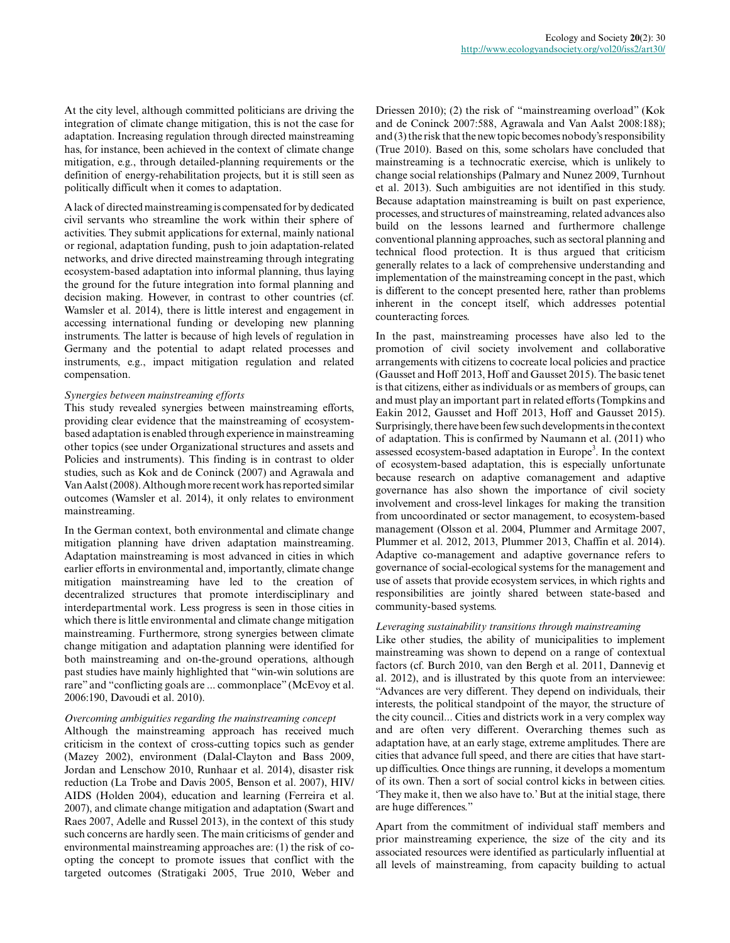At the city level, although committed politicians are driving the integration of climate change mitigation, this is not the case for adaptation. Increasing regulation through directed mainstreaming has, for instance, been achieved in the context of climate change mitigation, e.g., through detailed-planning requirements or the definition of energy-rehabilitation projects, but it is still seen as politically difficult when it comes to adaptation.

A lack of directed mainstreaming is compensated for by dedicated civil servants who streamline the work within their sphere of activities. They submit applications for external, mainly national or regional, adaptation funding, push to join adaptation-related networks, and drive directed mainstreaming through integrating ecosystem-based adaptation into informal planning, thus laying the ground for the future integration into formal planning and decision making. However, in contrast to other countries (cf. Wamsler et al. 2014), there is little interest and engagement in accessing international funding or developing new planning instruments. The latter is because of high levels of regulation in Germany and the potential to adapt related processes and instruments, e.g., impact mitigation regulation and related compensation.

## *Synergies between mainstreaming efforts*

This study revealed synergies between mainstreaming efforts, providing clear evidence that the mainstreaming of ecosystembased adaptation is enabled through experience in mainstreaming other topics (see under Organizational structures and assets and Policies and instruments). This finding is in contrast to older studies, such as Kok and de Coninck (2007) and Agrawala and Van Aalst (2008). Although more recent work has reported similar outcomes (Wamsler et al. 2014), it only relates to environment mainstreaming.

In the German context, both environmental and climate change mitigation planning have driven adaptation mainstreaming. Adaptation mainstreaming is most advanced in cities in which earlier efforts in environmental and, importantly, climate change mitigation mainstreaming have led to the creation of decentralized structures that promote interdisciplinary and interdepartmental work. Less progress is seen in those cities in which there is little environmental and climate change mitigation mainstreaming. Furthermore, strong synergies between climate change mitigation and adaptation planning were identified for both mainstreaming and on-the-ground operations, although past studies have mainly highlighted that "win-win solutions are rare" and "conflicting goals are ... commonplace" (McEvoy et al. 2006:190, Davoudi et al. 2010).

## *Overcoming ambiguities regarding the mainstreaming concept*

Although the mainstreaming approach has received much criticism in the context of cross-cutting topics such as gender (Mazey 2002), environment (Dalal-Clayton and Bass 2009, Jordan and Lenschow 2010, Runhaar et al. 2014), disaster risk reduction (La Trobe and Davis 2005, Benson et al. 2007), HIV/ AIDS (Holden 2004), education and learning (Ferreira et al. 2007), and climate change mitigation and adaptation (Swart and Raes 2007, Adelle and Russel 2013), in the context of this study such concerns are hardly seen. The main criticisms of gender and environmental mainstreaming approaches are: (1) the risk of coopting the concept to promote issues that conflict with the targeted outcomes (Stratigaki 2005, True 2010, Weber and

Driessen 2010); (2) the risk of "mainstreaming overload" (Kok and de Coninck 2007:588, Agrawala and Van Aalst 2008:188); and (3) the risk that the new topic becomes nobody's responsibility (True 2010). Based on this, some scholars have concluded that mainstreaming is a technocratic exercise, which is unlikely to change social relationships (Palmary and Nunez 2009, Turnhout et al. 2013). Such ambiguities are not identified in this study. Because adaptation mainstreaming is built on past experience, processes, and structures of mainstreaming, related advances also build on the lessons learned and furthermore challenge conventional planning approaches, such as sectoral planning and technical flood protection. It is thus argued that criticism generally relates to a lack of comprehensive understanding and implementation of the mainstreaming concept in the past, which is different to the concept presented here, rather than problems inherent in the concept itself, which addresses potential counteracting forces.

In the past, mainstreaming processes have also led to the promotion of civil society involvement and collaborative arrangements with citizens to cocreate local policies and practice (Gausset and Hoff 2013, Hoff and Gausset 2015). The basic tenet is that citizens, either as individuals or as members of groups, can and must play an important part in related efforts (Tompkins and Eakin 2012, Gausset and Hoff 2013, Hoff and Gausset 2015). Surprisingly, there have been few such developments in the context of adaptation. This is confirmed by Naumann et al. (2011) who assessed ecosystem-based adaptation in Europe<sup>3</sup>. In the context of ecosystem-based adaptation, this is especially unfortunate because research on adaptive comanagement and adaptive governance has also shown the importance of civil society involvement and cross-level linkages for making the transition from uncoordinated or sector management, to ecosystem-based management (Olsson et al. 2004, Plummer and Armitage 2007, Plummer et al. 2012, 2013, Plummer 2013, Chaffin et al. 2014). Adaptive co-management and adaptive governance refers to governance of social-ecological systems for the management and use of assets that provide ecosystem services, in which rights and responsibilities are jointly shared between state-based and community-based systems.

## *Leveraging sustainability transitions through mainstreaming*

Like other studies, the ability of municipalities to implement mainstreaming was shown to depend on a range of contextual factors (cf. Burch 2010, van den Bergh et al. 2011, Dannevig et al. 2012), and is illustrated by this quote from an interviewee: "Advances are very different. They depend on individuals, their interests, the political standpoint of the mayor, the structure of the city council... Cities and districts work in a very complex way and are often very different. Overarching themes such as adaptation have, at an early stage, extreme amplitudes. There are cities that advance full speed, and there are cities that have startup difficulties. Once things are running, it develops a momentum of its own. Then a sort of social control kicks in between cities. 'They make it, then we also have to.' But at the initial stage, there are huge differences."

Apart from the commitment of individual staff members and prior mainstreaming experience, the size of the city and its associated resources were identified as particularly influential at all levels of mainstreaming, from capacity building to actual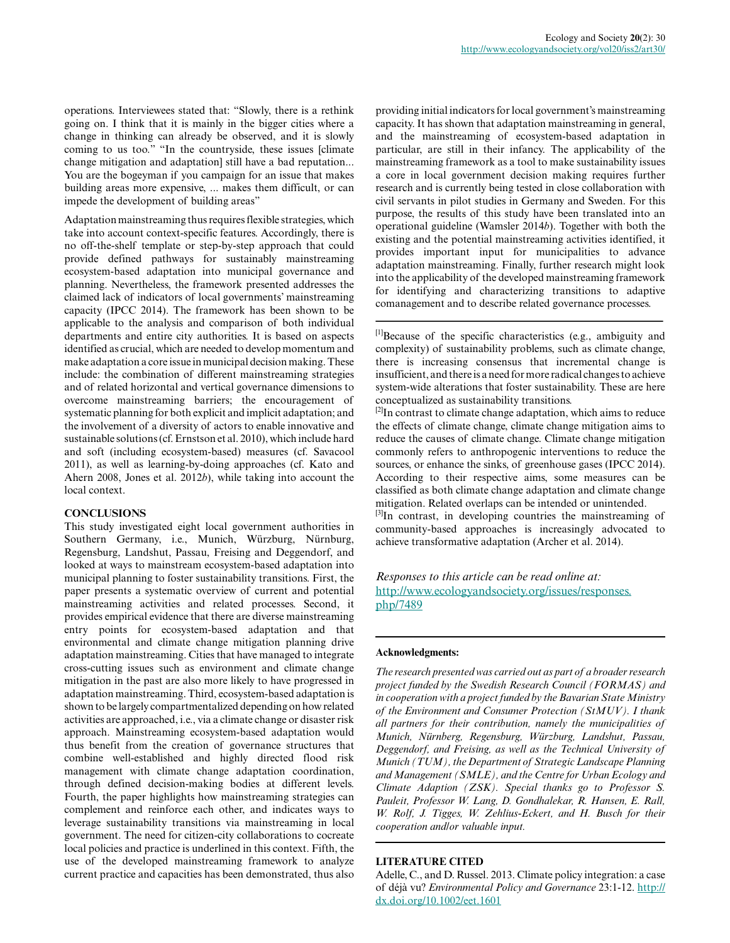operations. Interviewees stated that: "Slowly, there is a rethink going on. I think that it is mainly in the bigger cities where a change in thinking can already be observed, and it is slowly coming to us too." "In the countryside, these issues [climate change mitigation and adaptation] still have a bad reputation... You are the bogeyman if you campaign for an issue that makes building areas more expensive, ... makes them difficult, or can impede the development of building areas"

Adaptation mainstreaming thus requires flexible strategies, which take into account context-specific features. Accordingly, there is no off-the-shelf template or step-by-step approach that could provide defined pathways for sustainably mainstreaming ecosystem-based adaptation into municipal governance and planning. Nevertheless, the framework presented addresses the claimed lack of indicators of local governments' mainstreaming capacity (IPCC 2014). The framework has been shown to be applicable to the analysis and comparison of both individual departments and entire city authorities. It is based on aspects identified as crucial, which are needed to develop momentum and make adaptation a core issue in municipal decision making. These include: the combination of different mainstreaming strategies and of related horizontal and vertical governance dimensions to overcome mainstreaming barriers; the encouragement of systematic planning for both explicit and implicit adaptation; and the involvement of a diversity of actors to enable innovative and sustainable solutions (cf. Ernstson et al. 2010), which include hard and soft (including ecosystem-based) measures (cf. Savacool 2011), as well as learning-by-doing approaches (cf. Kato and Ahern 2008, Jones et al. 2012*b*), while taking into account the local context.

# **CONCLUSIONS**

This study investigated eight local government authorities in Southern Germany, i.e., Munich, Würzburg, Nürnburg, Regensburg, Landshut, Passau, Freising and Deggendorf, and looked at ways to mainstream ecosystem-based adaptation into municipal planning to foster sustainability transitions. First, the paper presents a systematic overview of current and potential mainstreaming activities and related processes. Second, it provides empirical evidence that there are diverse mainstreaming entry points for ecosystem-based adaptation and that environmental and climate change mitigation planning drive adaptation mainstreaming. Cities that have managed to integrate cross-cutting issues such as environment and climate change mitigation in the past are also more likely to have progressed in adaptation mainstreaming. Third, ecosystem-based adaptation is shown to be largely compartmentalized depending on how related activities are approached, i.e., via a climate change or disaster risk approach. Mainstreaming ecosystem-based adaptation would thus benefit from the creation of governance structures that combine well-established and highly directed flood risk management with climate change adaptation coordination, through defined decision-making bodies at different levels. Fourth, the paper highlights how mainstreaming strategies can complement and reinforce each other, and indicates ways to leverage sustainability transitions via mainstreaming in local government. The need for citizen-city collaborations to cocreate local policies and practice is underlined in this context. Fifth, the use of the developed mainstreaming framework to analyze current practice and capacities has been demonstrated, thus also

providing initial indicators for local government's mainstreaming capacity. It has shown that adaptation mainstreaming in general, and the mainstreaming of ecosystem-based adaptation in particular, are still in their infancy. The applicability of the mainstreaming framework as a tool to make sustainability issues a core in local government decision making requires further research and is currently being tested in close collaboration with civil servants in pilot studies in Germany and Sweden. For this purpose, the results of this study have been translated into an operational guideline (Wamsler 2014*b*). Together with both the existing and the potential mainstreaming activities identified, it provides important input for municipalities to advance adaptation mainstreaming. Finally, further research might look into the applicability of the developed mainstreaming framework for identifying and characterizing transitions to adaptive comanagement and to describe related governance processes.

<sup>[1]</sup>Because of the specific characteristics (e.g., ambiguity and complexity) of sustainability problems, such as climate change, there is increasing consensus that incremental change is insufficient, and there is a need for more radical changes to achieve system-wide alterations that foster sustainability. These are here conceptualized as sustainability transitions.

 $[2]$ In contrast to climate change adaptation, which aims to reduce the effects of climate change, climate change mitigation aims to reduce the causes of climate change. Climate change mitigation commonly refers to anthropogenic interventions to reduce the sources, or enhance the sinks, of greenhouse gases (IPCC 2014). According to their respective aims, some measures can be classified as both climate change adaptation and climate change mitigation. Related overlaps can be intended or unintended.

[3]In contrast, in developing countries the mainstreaming of community-based approaches is increasingly advocated to achieve transformative adaptation (Archer et al. 2014).

*Responses to this article can be read online at:* http://www.ecologyandsociety.org/issues/responses. php/7489

## **Acknowledgments:**

*The research presented was carried out as part of a broader research project funded by the Swedish Research Council (FORMAS) and in cooperation with a project funded by the Bavarian State Ministry of the Environment and Consumer Protection (StMUV). I thank all partners for their contribution, namely the municipalities of Munich, Nürnberg, Regensburg, Würzburg, Landshut, Passau, Deggendorf, and Freising, as well as the Technical University of Munich (TUM), the Department of Strategic Landscape Planning and Management (SMLE), and the Centre for Urban Ecology and Climate Adaption (ZSK). Special thanks go to Professor S. Pauleit, Professor W. Lang, D. Gondhalekar, R. Hansen, E. Rall, W. Rolf, J. Tigges, W. Zehlius-Eckert, and H. Busch for their cooperation and/or valuable input.*

# **LITERATURE CITED**

Adelle, C., and D. Russel. 2013. Climate policy integration: a case of déjà vu? *Environmental Policy and Governance* 23:1-12. http:// dx.doi.org/10.1002/eet.1601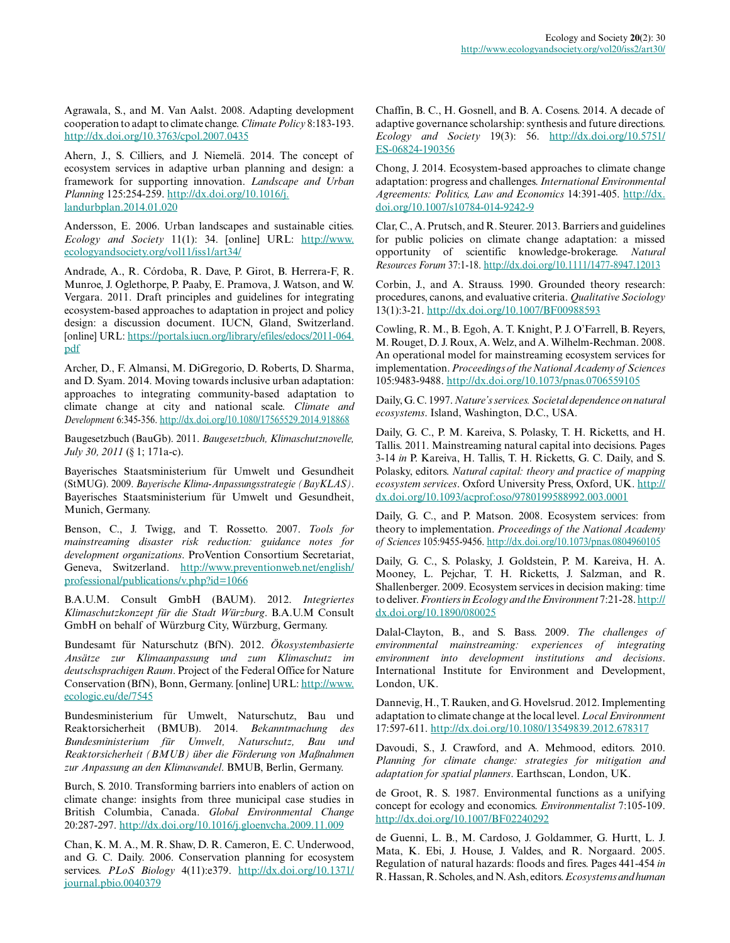Agrawala, S., and M. Van Aalst. 2008. Adapting development cooperation to adapt to climate change. *Climate Policy* 8:183-193. http://dx.doi.org/10.3763/cpol.2007.0435

Ahern, J., S. Cilliers, and J. Niemelä. 2014. The concept of ecosystem services in adaptive urban planning and design: a framework for supporting innovation. *Landscape and Urban Planning* 125:254-259. http://dx.doi.org/10.1016/j. landurbplan.2014.01.020

Andersson, E. 2006. Urban landscapes and sustainable cities. *Ecology and Society* 11(1): 34. [online] URL: http://www. ecologyandsociety.org/vol11/iss1/art34/

Andrade, A., R. Córdoba, R. Dave, P. Girot, B. Herrera-F, R. Munroe, J. Oglethorpe, P. Paaby, E. Pramova, J. Watson, and W. Vergara. 2011. Draft principles and guidelines for integrating ecosystem-based approaches to adaptation in project and policy design: a discussion document. IUCN, Gland, Switzerland. [online] URL: https://portals.iucn.org/library/efiles/edocs/2011-064. pdf

Archer, D., F. Almansi, M. DiGregorio, D. Roberts, D. Sharma, and D. Syam. 2014. Moving towards inclusive urban adaptation: approaches to integrating community-based adaptation to climate change at city and national scale. *Climate and Development* 6:345-356. http://dx.doi.org/10.1080/17565529.2014.918868

Baugesetzbuch (BauGb). 2011. *Baugesetzbuch, Klimaschutznovelle, July 30, 2011* (§ 1; 171a-c).

Bayerisches Staatsministerium für Umwelt und Gesundheit (StMUG). 2009. *Bayerische Klima-Anpassungsstrategie (BayKLAS)*. Bayerisches Staatsministerium für Umwelt und Gesundheit, Munich, Germany.

Benson, C., J. Twigg, and T. Rossetto. 2007. *Tools for mainstreaming disaster risk reduction: guidance notes for development organizations*. ProVention Consortium Secretariat, Geneva, Switzerland. http://www.preventionweb.net/english/ professional/publications/v.php?id=1066

B.A.U.M. Consult GmbH (BAUM). 2012. *Integriertes Klimaschutzkonzept für die Stadt Würzburg*. B.A.U.M Consult GmbH on behalf of Würzburg City, Würzburg, Germany.

Bundesamt für Naturschutz (BfN). 2012. *Ökosystembasierte Ansätze zur Klimaanpassung und zum Klimaschutz im deutschsprachigen Raum*. Project of the Federal Office for Nature Conservation (BfN), Bonn, Germany. [online] URL: http://www. ecologic.eu/de/7545

Bundesministerium für Umwelt, Naturschutz, Bau und Reaktorsicherheit (BMUB). 2014. *Bekanntmachung des Bundesministerium für Umwelt, Naturschutz, Bau und Reaktorsicherheit (BMUB) über die Förderung von Maßnahmen zur Anpassung an den Klimawandel*. BMUB, Berlin, Germany.

Burch, S. 2010. Transforming barriers into enablers of action on climate change: insights from three municipal case studies in British Columbia, Canada. *Global Environmental Change* 20:287-297. http://dx.doi.org/10.1016/j.gloenvcha.2009.11.009

Chan, K. M. A., M. R. Shaw, D. R. Cameron, E. C. Underwood, and G. C. Daily. 2006. Conservation planning for ecosystem services. *PLoS Biology* 4(11):e379. http://dx.doi.org/10.1371/ journal.pbio.0040379

Chaffin, B. C., H. Gosnell, and B. A. Cosens. 2014. A decade of adaptive governance scholarship: synthesis and future directions. *Ecology and Society* 19(3): 56. http://dx.doi.org/10.5751/ ES-06824-190356

Chong, J. 2014. Ecosystem-based approaches to climate change adaptation: progress and challenges. *International Environmental Agreements: Politics, Law and Economics* 14:391-405. http://dx. doi.org/10.1007/s10784-014-9242-9

Clar, C., A. Prutsch, and R. Steurer. 2013. Barriers and guidelines for public policies on climate change adaptation: a missed opportunity of scientific knowledge-brokerage. *Natural Resources Forum* 37:1-18. http://dx.doi.org/10.1111/1477-8947.12013

Corbin, J., and A. Strauss. 1990. Grounded theory research: procedures, canons, and evaluative criteria. *Qualitative Sociology* 13(1):3-21. http://dx.doi.org/10.1007/BF00988593

Cowling, R. M., B. Egoh, A. T. Knight, P. J. O'Farrell, B. Reyers, M. Rouget, D. J. Roux, A. Welz, and A. Wilhelm-Rechman. 2008. An operational model for mainstreaming ecosystem services for implementation. *Proceedings of the National Academy of Sciences* 105:9483-9488. http://dx.doi.org/10.1073/pnas.0706559105

Daily, G. C. 1997. *Nature's services. Societal dependence on natural ecosystems*. Island, Washington, D.C., USA.

Daily, G. C., P. M. Kareiva, S. Polasky, T. H. Ricketts, and H. Tallis. 2011. Mainstreaming natural capital into decisions. Pages 3-14 *in* P. Kareiva, H. Tallis, T. H. Ricketts, G. C. Daily, and S. Polasky, editors. *Natural capital: theory and practice of mapping ecosystem services*. Oxford University Press, Oxford, UK. http:// dx.doi.org/10.1093/acprof:oso/9780199588992.003.0001

Daily, G. C., and P. Matson. 2008. Ecosystem services: from theory to implementation. *Proceedings of the National Academy of Sciences* 105:9455-9456. http://dx.doi.org/10.1073/pnas.0804960105

Daily, G. C., S. Polasky, J. Goldstein, P. M. Kareiva, H. A. Mooney, L. Pejchar, T. H. Ricketts, J. Salzman, and R. Shallenberger. 2009. Ecosystem services in decision making: time to deliver. *Frontiers in Ecology and the Environment* 7:21-28. http:// dx.doi.org/10.1890/080025

Dalal-Clayton, B., and S. Bass. 2009. *The challenges of environmental mainstreaming: experiences of integrating environment into development institutions and decisions*. International Institute for Environment and Development, London, UK.

Dannevig, H., T. Rauken, and G. Hovelsrud. 2012. Implementing adaptation to climate change at the local level. *Local Environment* 17:597-611. http://dx.doi.org/10.1080/13549839.2012.678317

Davoudi, S., J. Crawford, and A. Mehmood, editors. 2010. *Planning for climate change: strategies for mitigation and adaptation for spatial planners*. Earthscan, London, UK.

de Groot, R. S. 1987. Environmental functions as a unifying concept for ecology and economics. *Environmentalist* 7:105-109. http://dx.doi.org/10.1007/BF02240292

de Guenni, L. B., M. Cardoso, J. Goldammer, G. Hurtt, L. J. Mata, K. Ebi, J. House, J. Valdes, and R. Norgaard. 2005. Regulation of natural hazards: floods and fires. Pages 441-454 *in* R. Hassan, R. Scholes, and N. Ash, editors. *Ecosystems and human*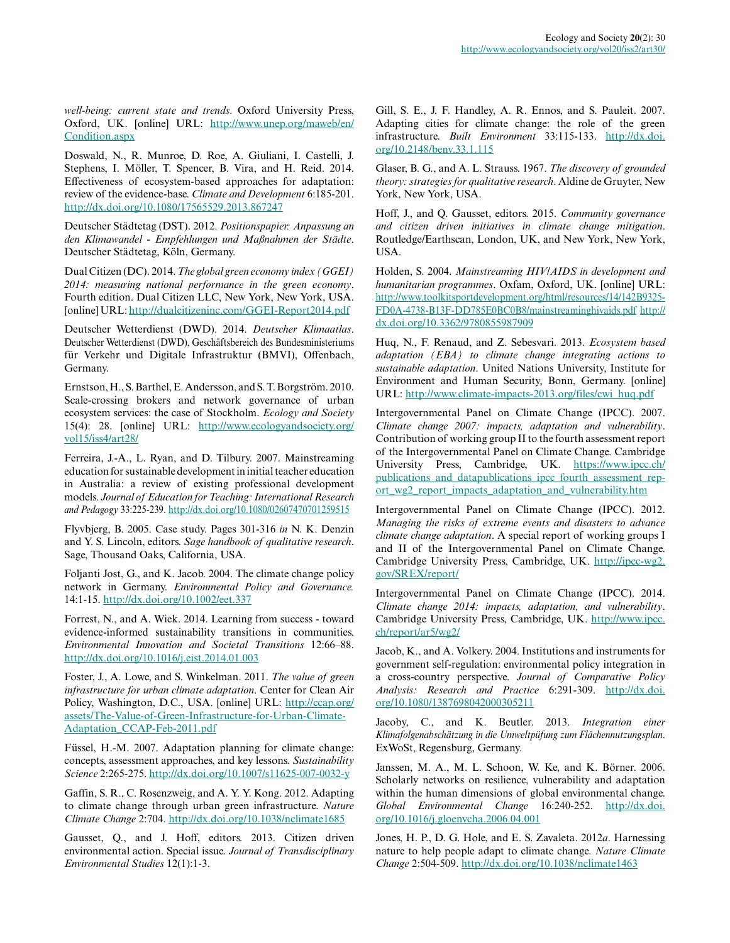*well-being: current state and trends*. Oxford University Press, Oxford, UK. [online] URL: http://www.unep.org/maweb/en/ Condition.aspx

Doswald, N., R. Munroe, D. Roe, A. Giuliani, I. Castelli, J. Stephens, I. Möller, T. Spencer, B. Vira, and H. Reid. 2014. Effectiveness of ecosystem-based approaches for adaptation: review of the evidence-base. *Climate and Development* 6:185-201. http://dx.doi.org/10.1080/17565529.2013.867247

Deutscher Städtetag (DST). 2012. *Positionspapier: Anpassung an den Klimawandel - Empfehlungen und Maßnahmen der Städte*. Deutscher Städtetag, Köln, Germany.

Dual Citizen (DC). 2014. *The global green economy index (GGEI) 2014: measuring national performance in the green economy*. Fourth edition. Dual Citizen LLC, New York, New York, USA. [online] URL: http://dualcitizeninc.com/GGEI-Report2014.pdf

Deutscher Wetterdienst (DWD). 2014. *Deutscher Klimaatlas*. Deutscher Wetterdienst (DWD), Geschäftsbereich des Bundesministeriums für Verkehr und Digitale Infrastruktur (BMVI), Offenbach, Germany.

Ernstson, H., S. Barthel, E. Andersson, and S. T. Borgström. 2010. Scale-crossing brokers and network governance of urban ecosystem services: the case of Stockholm. *Ecology and Society* 15(4): 28. [online] URL: http://www.ecologyandsociety.org/ vol15/iss4/art28/

Ferreira, J.-A., L. Ryan, and D. Tilbury. 2007. Mainstreaming education for sustainable development in initial teacher education in Australia: a review of existing professional development models. *Journal of Education for Teaching: International Research and Pedagogy* 33:225-239. http://dx.doi.org/10.1080/02607470701259515

Flyvbjerg, B. 2005. Case study. Pages 301-316 *in* N. K. Denzin and Y. S. Lincoln, editors. *Sage handbook of qualitative research*. Sage, Thousand Oaks, California, USA.

Foljanti Jost, G., and K. Jacob. 2004. The climate change policy network in Germany. *Environmental Policy and Governance.* 14:1-15. http://dx.doi.org/10.1002/eet.337

Forrest, N., and A. Wiek. 2014. Learning from success - toward evidence-informed sustainability transitions in communities. *Environmental Innovation and Societal Transitions* 12:66–88. http://dx.doi.org/10.1016/j.eist.2014.01.003

Foster, J., A. Lowe, and S. Winkelman. 2011. *The value of green infrastructure for urban climate adaptation*. Center for Clean Air Policy, Washington, D.C., USA. [online] URL: http://ccap.org/ assets/The-Value-of-Green-Infrastructure-for-Urban-Climate-Adaptation\_CCAP-Feb-2011.pdf

Füssel, H.-M. 2007. Adaptation planning for climate change: concepts, assessment approaches, and key lessons. *Sustainability Science* 2:265-275. http://dx.doi.org/10.1007/s11625-007-0032-y

Gaffin, S. R., C. Rosenzweig, and A. Y. Y. Kong. 2012. Adapting to climate change through urban green infrastructure. *Nature Climate Change* 2:704. http://dx.doi.org/10.1038/nclimate1685

Gausset, Q., and J. Hoff, editors. 2013. Citizen driven environmental action. Special issue. *Journal of Transdisciplinary Environmental Studies* 12(1):1-3.

Gill, S. E., J. F. Handley, A. R. Ennos, and S. Pauleit. 2007. Adapting cities for climate change: the role of the green infrastructure. *Built Environment* 33:115-133. http://dx.doi. org/10.2148/benv.33.1.115

Glaser, B. G., and A. L. Strauss. 1967. *The discovery of grounded theory: strategies for qualitative research*. Aldine de Gruyter, New York, New York, USA.

Hoff, J., and Q. Gausset, editors. 2015. *Community governance and citizen driven initiatives in climate change mitigation*. Routledge/Earthscan, London, UK, and New York, New York, USA.

Holden, S. 2004. *Mainstreaming HIV/AIDS in development and humanitarian programmes*. Oxfam, Oxford, UK. [online] URL: http://www.toolkitsportdevelopment.org/html/resources/14/142B9325- FD0A-4738-B13F-DD785E0BC0B8/mainstreaminghivaids.pdf http:// dx.doi.org/10.3362/9780855987909

Huq, N., F. Renaud, and Z. Sebesvari. 2013. *Ecosystem based adaptation (EBA) to climate change integrating actions to sustainable adaptation*. United Nations University, Institute for Environment and Human Security, Bonn, Germany. [online] URL: http://www.climate-impacts-2013.org/files/cwi\_huq.pdf

Intergovernmental Panel on Climate Change (IPCC). 2007. *Climate change 2007: impacts, adaptation and vulnerability*. Contribution of working group II to the fourth assessment report of the Intergovernmental Panel on Climate Change. Cambridge University Press, Cambridge, UK. https://www.ipcc.ch/ publications and datapublications ipcc fourth assessment report\_wg2\_report\_impacts\_adaptation\_and\_vulnerability.htm

Intergovernmental Panel on Climate Change (IPCC). 2012. *Managing the risks of extreme events and disasters to advance climate change adaptation*. A special report of working groups I and II of the Intergovernmental Panel on Climate Change. Cambridge University Press, Cambridge, UK. http://ipcc-wg2. gov/SREX/report/

Intergovernmental Panel on Climate Change (IPCC). 2014. *Climate change 2014: impacts, adaptation, and vulnerability*. Cambridge University Press, Cambridge, UK. http://www.ipcc. ch/report/ar5/wg2/

Jacob, K., and A. Volkery. 2004. Institutions and instruments for government self-regulation: environmental policy integration in a cross-country perspective. *Journal of Comparative Policy Analysis: Research and Practice* 6:291-309. http://dx.doi. org/10.1080/1387698042000305211

Jacoby, C., and K. Beutler. 2013. *Integration einer Klimafolgenabschätzung in die Umweltpüfung zum Flächennutzungsplan*. ExWoSt, Regensburg, Germany.

Janssen, M. A., M. L. Schoon, W. Ke, and K. Börner. 2006. Scholarly networks on resilience, vulnerability and adaptation within the human dimensions of global environmental change. *Global Environmental Change* 16:240-252. http://dx.doi. org/10.1016/j.gloenvcha.2006.04.001

Jones, H. P., D. G. Hole, and E. S. Zavaleta. 2012*a*. Harnessing nature to help people adapt to climate change. *Nature Climate Change* 2:504-509. http://dx.doi.org/10.1038/nclimate1463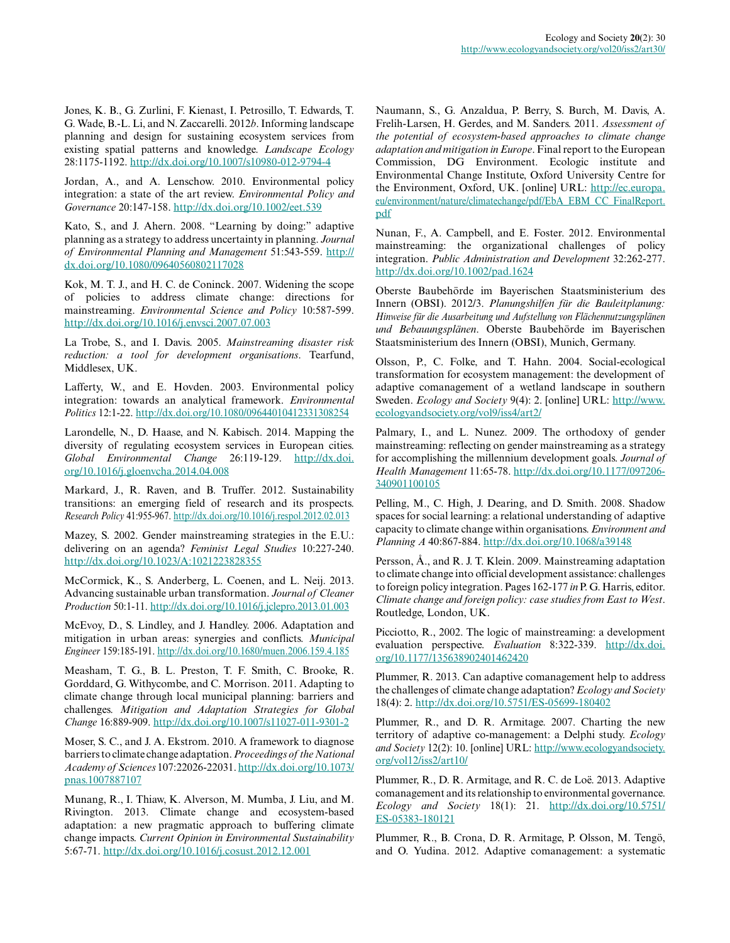Jones, K. B., G. Zurlini, F. Kienast, I. Petrosillo, T. Edwards, T. G. Wade, B.-L. Li, and N. Zaccarelli. 2012*b*. Informing landscape planning and design for sustaining ecosystem services from existing spatial patterns and knowledge. *Landscape Ecology* 28:1175-1192. http://dx.doi.org/10.1007/s10980-012-9794-4

Jordan, A., and A. Lenschow. 2010. Environmental policy integration: a state of the art review. *Environmental Policy and Governance* 20:147-158. http://dx.doi.org/10.1002/eet.539

Kato, S., and J. Ahern. 2008. "Learning by doing:" adaptive planning as a strategy to address uncertainty in planning. *Journal of Environmental Planning and Management* 51:543-559. http:// dx.doi.org/10.1080/09640560802117028

Kok, M. T. J., and H. C. de Coninck. 2007. Widening the scope of policies to address climate change: directions for mainstreaming. *Environmental Science and Policy* 10:587-599. http://dx.doi.org/10.1016/j.envsci.2007.07.003

La Trobe, S., and I. Davis. 2005. *Mainstreaming disaster risk reduction: a tool for development organisations*. Tearfund, Middlesex, UK.

Lafferty, W., and E. Hovden. 2003. Environmental policy integration: towards an analytical framework. *Environmental Politics* 12:1-22. http://dx.doi.org/10.1080/09644010412331308254

Larondelle, N., D. Haase, and N. Kabisch. 2014. Mapping the diversity of regulating ecosystem services in European cities. *Global Environmental Change* 26:119-129. http://dx.doi. org/10.1016/j.gloenvcha.2014.04.008

Markard, J., R. Raven, and B. Truffer. 2012. Sustainability transitions: an emerging field of research and its prospects. *Research Policy* 41:955-967. http://dx.doi.org/10.1016/j.respol.2012.02.013

Mazey, S. 2002. Gender mainstreaming strategies in the E.U.: delivering on an agenda? *Feminist Legal Studies* 10:227-240. http://dx.doi.org/10.1023/A:1021223828355

McCormick, K., S. Anderberg, L. Coenen, and L. Neij. 2013. Advancing sustainable urban transformation. *Journal of Cleaner Production* 50:1-11. http://dx.doi.org/10.1016/j.jclepro.2013.01.003

McEvoy, D., S. Lindley, and J. Handley. 2006. Adaptation and mitigation in urban areas: synergies and conflicts. *Municipal Engineer* 159:185-191. http://dx.doi.org/10.1680/muen.2006.159.4.185

Measham, T. G., B. L. Preston, T. F. Smith, C. Brooke, R. Gorddard, G. Withycombe, and C. Morrison. 2011. Adapting to climate change through local municipal planning: barriers and challenges. *Mitigation and Adaptation Strategies for Global Change* 16:889-909. http://dx.doi.org/10.1007/s11027-011-9301-2

Moser, S. C., and J. A. Ekstrom. 2010. A framework to diagnose barriers to climate change adaptation. *Proceedings of the National Academy of Sciences* 107:22026-22031. http://dx.doi.org/10.1073/ pnas.1007887107

Munang, R., I. Thiaw, K. Alverson, M. Mumba, J. Liu, and M. Rivington. 2013. Climate change and ecosystem-based adaptation: a new pragmatic approach to buffering climate change impacts. *Current Opinion in Environmental Sustainability* 5:67-71. http://dx.doi.org/10.1016/j.cosust.2012.12.001

Naumann, S., G. Anzaldua, P. Berry, S. Burch, M. Davis, A. Frelih-Larsen, H. Gerdes, and M. Sanders. 2011. *Assessment of the potential of ecosystem-based approaches to climate change adaptation and mitigation in Europe*. Final report to the European Commission, DG Environment. Ecologic institute and Environmental Change Institute, Oxford University Centre for the Environment, Oxford, UK. [online] URL: http://ec.europa. eu/environment/nature/climatechange/pdf/EbA\_EBM\_CC\_FinalReport. pdf

Nunan, F., A. Campbell, and E. Foster. 2012. Environmental mainstreaming: the organizational challenges of policy integration. *Public Administration and Development* 32:262-277. http://dx.doi.org/10.1002/pad.1624

Oberste Baubehörde im Bayerischen Staatsministerium des Innern (OBSI). 2012/3. *Planungshilfen für die Bauleitplanung: Hinweise für die Ausarbeitung und Aufstellung von Flächennutzungsplänen und Bebauungsplänen*. Oberste Baubehörde im Bayerischen Staatsministerium des Innern (OBSI), Munich, Germany.

Olsson, P., C. Folke, and T. Hahn. 2004. Social-ecological transformation for ecosystem management: the development of adaptive comanagement of a wetland landscape in southern Sweden. *Ecology and Society* 9(4): 2. [online] URL: http://www. ecologyandsociety.org/vol9/iss4/art2/

Palmary, I., and L. Nunez. 2009. The orthodoxy of gender mainstreaming: reflecting on gender mainstreaming as a strategy for accomplishing the millennium development goals. *Journal of Health Management* 11:65-78. http://dx.doi.org/10.1177/097206 340901100105

Pelling, M., C. High, J. Dearing, and D. Smith. 2008. Shadow spaces for social learning: a relational understanding of adaptive capacity to climate change within organisations. *Environment and Planning A* 40:867-884. http://dx.doi.org/10.1068/a39148

Persson, Å., and R. J. T. Klein. 2009. Mainstreaming adaptation to climate change into official development assistance: challenges to foreign policy integration. Pages 162-177 *in* P. G. Harris, editor. *Climate change and foreign policy: case studies from East to West*. Routledge, London, UK.

Picciotto, R., 2002. The logic of mainstreaming: a development evaluation perspective. *Evaluation* 8:322-339. http://dx.doi. org/10.1177/135638902401462420

Plummer, R. 2013. Can adaptive comanagement help to address the challenges of climate change adaptation? *Ecology and Society* 18(4): 2. http://dx.doi.org/10.5751/ES-05699-180402

Plummer, R., and D. R. Armitage. 2007. Charting the new territory of adaptive co-management: a Delphi study. *Ecology and Society* 12(2): 10. [online] URL: http://www.ecologyandsociety. org/vol12/iss2/art10/

Plummer, R., D. R. Armitage, and R. C. de Loë. 2013. Adaptive comanagement and its relationship to environmental governance. *Ecology and Society* 18(1): 21. http://dx.doi.org/10.5751/ ES-05383-180121

Plummer, R., B. Crona, D. R. Armitage, P. Olsson, M. Tengö, and O. Yudina. 2012. Adaptive comanagement: a systematic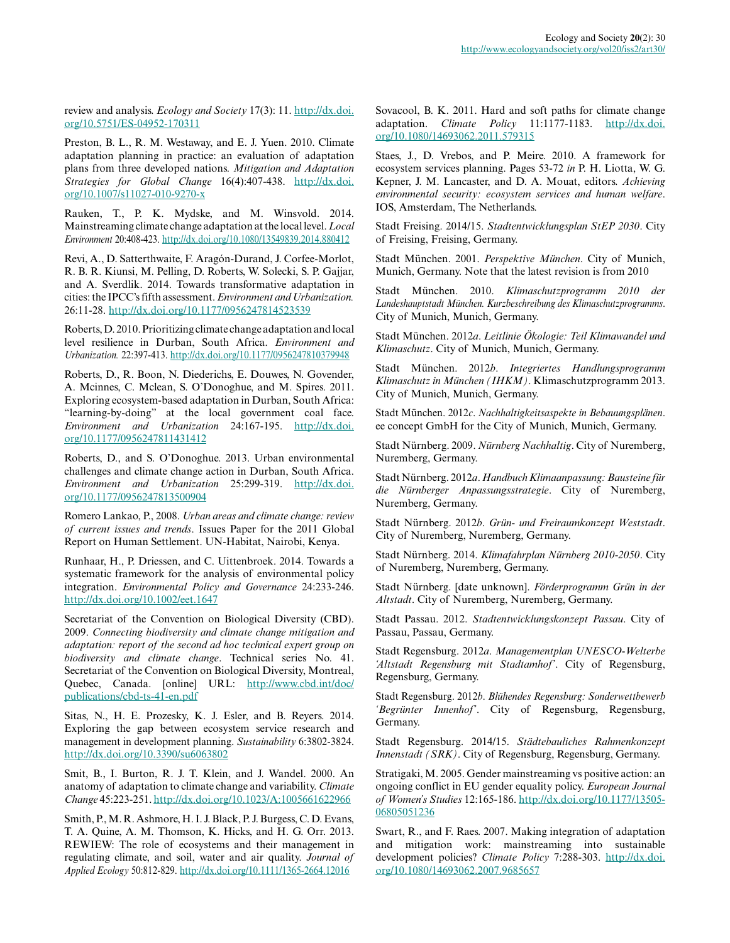review and analysis. *Ecology and Society* 17(3): 11. http://dx.doi. org/10.5751/ES-04952-170311

Preston, B. L., R. M. Westaway, and E. J. Yuen. 2010. Climate adaptation planning in practice: an evaluation of adaptation plans from three developed nations. *Mitigation and Adaptation Strategies for Global Change* 16(4):407-438. http://dx.doi. org/10.1007/s11027-010-9270-x

Rauken, T., P. K. Mydske, and M. Winsvold. 2014. Mainstreaming climate change adaptation at the local level. *Local Environment* 20:408-423. http://dx.doi.org/10.1080/13549839.2014.880412

Revi, A., D. Satterthwaite, F. Aragón-Durand, J. Corfee-Morlot, R. B. R. Kiunsi, M. Pelling, D. Roberts, W. Solecki, S. P. Gajjar, and A. Sverdlik. 2014. Towards transformative adaptation in cities: the IPCC's fifth assessment. *Environment and Urbanization.* 26:11-28. http://dx.doi.org/10.1177/0956247814523539

Roberts, D. 2010. Prioritizing climate change adaptation and local level resilience in Durban, South Africa. *Environment and Urbanization.* 22:397-413. http://dx.doi.org/10.1177/0956247810379948

Roberts, D., R. Boon, N. Diederichs, E. Douwes, N. Govender, A. Mcinnes, C. Mclean, S. O'Donoghue, and M. Spires. 2011. Exploring ecosystem-based adaptation in Durban, South Africa: "learning-by-doing" at the local government coal face. *Environment and Urbanization* 24:167-195. http://dx.doi. org/10.1177/0956247811431412

Roberts, D., and S. O'Donoghue. 2013. Urban environmental challenges and climate change action in Durban, South Africa. *Environment and Urbanization* 25:299-319. http://dx.doi. org/10.1177/0956247813500904

Romero Lankao, P., 2008. *Urban areas and climate change: review of current issues and trends*. Issues Paper for the 2011 Global Report on Human Settlement. UN-Habitat, Nairobi, Kenya.

Runhaar, H., P. Driessen, and C. Uittenbroek. 2014. Towards a systematic framework for the analysis of environmental policy integration. *Environmental Policy and Governance* 24:233-246. http://dx.doi.org/10.1002/eet.1647

Secretariat of the Convention on Biological Diversity (CBD). 2009. *Connecting biodiversity and climate change mitigation and adaptation: report of the second ad hoc technical expert group on biodiversity and climate change*. Technical series No. 41. Secretariat of the Convention on Biological Diversity, Montreal, Quebec, Canada. [online] URL: http://www.cbd.int/doc/ publications/cbd-ts-41-en.pdf

Sitas, N., H. E. Prozesky, K. J. Esler, and B. Reyers. 2014. Exploring the gap between ecosystem service research and management in development planning. *Sustainability* 6:3802-3824. http://dx.doi.org/10.3390/su6063802

Smit, B., I. Burton, R. J. T. Klein, and J. Wandel. 2000. An anatomy of adaptation to climate change and variability. *Climate Change* 45:223-251. http://dx.doi.org/10.1023/A:1005661622966

Smith, P., M. R. Ashmore, H. I. J. Black, P. J. Burgess, C. D. Evans, T. A. Quine, A. M. Thomson, K. Hicks, and H. G. Orr. 2013. REWIEW: The role of ecosystems and their management in regulating climate, and soil, water and air quality. *Journal of Applied Ecology* 50:812-829. http://dx.doi.org/10.1111/1365-2664.12016

Sovacool, B. K. 2011. Hard and soft paths for climate change adaptation. *Climate Policy* 11:1177-1183. http://dx.doi. org/10.1080/14693062.2011.579315

Staes, J., D. Vrebos, and P. Meire. 2010. A framework for ecosystem services planning. Pages 53-72 *in* P. H. Liotta, W. G. Kepner, J. M. Lancaster, and D. A. Mouat, editors. *Achieving environmental security: ecosystem services and human welfare*. IOS, Amsterdam, The Netherlands.

Stadt Freising. 2014/15. *Stadtentwicklungsplan StEP 2030*. City of Freising, Freising, Germany.

Stadt München. 2001. *Perspektive München*. City of Munich, Munich, Germany. Note that the latest revision is from 2010

Stadt München. 2010. *Klimaschutzprogramm 2010 der Landeshauptstadt München. Kurzbeschreibung des Klimaschutzprogramms*. City of Munich, Munich, Germany.

Stadt München. 2012*a*. *Leitlinie Ökologie: Teil Klimawandel und Klimaschutz*. City of Munich, Munich, Germany.

Stadt München. 2012*b*. *Integriertes Handlungsprogramm Klimaschutz in München (IHKM)*. Klimaschutzprogramm 2013. City of Munich, Munich, Germany.

Stadt München. 2012*c*. *Nachhaltigkeitsaspekte in Bebauungsplänen*. ee concept GmbH for the City of Munich, Munich, Germany.

Stadt Nürnberg. 2009. *Nürnberg Nachhaltig*. City of Nuremberg, Nuremberg, Germany.

Stadt Nürnberg. 2012*a*. *Handbuch Klimaanpassung: Bausteine für die Nürnberger Anpassungsstrategie*. City of Nuremberg, Nuremberg, Germany.

Stadt Nürnberg. 2012*b*. *Grün- und Freiraumkonzept Weststadt*. City of Nuremberg, Nuremberg, Germany.

Stadt Nürnberg. 2014. *Klimafahrplan Nürnberg 2010-2050*. City of Nuremberg, Nuremberg, Germany.

Stadt Nürnberg. [date unknown]. *Förderprogramm Grün in der Altstadt*. City of Nuremberg, Nuremberg, Germany.

Stadt Passau. 2012. *Stadtentwicklungskonzept Passau*. City of Passau, Passau, Germany.

Stadt Regensburg. 2012*a*. *Managementplan UNESCO-Welterbe 'Altstadt Regensburg mit Stadtamhof'*. City of Regensburg, Regensburg, Germany.

Stadt Regensburg. 2012*b*. *Blühendes Regensburg: Sonderwettbewerb 'Begrünter Innenhof'*. City of Regensburg, Regensburg, Germany.

Stadt Regensburg. 2014/15. *Städtebauliches Rahmenkonzept Innenstadt (SRK)*. City of Regensburg, Regensburg, Germany.

Stratigaki, M. 2005. Gender mainstreaming vs positive action: an ongoing conflict in EU gender equality policy. *European Journal of Women's Studies* 12:165-186. http://dx.doi.org/10.1177/13505 06805051236

Swart, R., and F. Raes. 2007. Making integration of adaptation and mitigation work: mainstreaming into sustainable development policies? *Climate Policy* 7:288-303. http://dx.doi. org/10.1080/14693062.2007.9685657